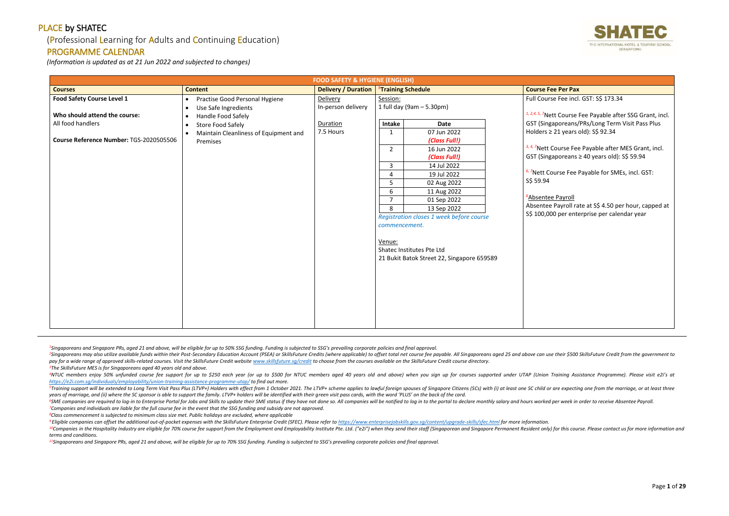## (Professional Learning for Adults and Continuing Education)

## PROGRAMME CALENDAR

*(Information is updated as at 21 Jun 2022 and subjected to changes)*

<sup>2</sup>Singaporeans may also utilize available funds within their Post-Secondary Education Account (PSEA) or SkillsFuture Credits (where applicable) to offset total net course fee payable. All Singaporeans aged 25 and above ca pay for a wide range of approved skills-related courses. Visit the SkillsFuture Credit website www.skillsfuture.sa/credit to choose from the courses available on the SkillsFuture Credit course directory. *<sup>3</sup>The SkillsFuture MES is for Singaporeans aged 40 years old and above.*

<sup>4</sup>NTUC members enjoy 50% unfunded course fee support for up to \$250 each year (or up to \$500 for NTUC members aged 40 years old and above) when you sign up for courses supported under UTAP (Union Training Assistance Progr *<https://e2i.com.sg/individuals/employability/union-training-assistance-programme-utap/> to find out more.*  <sup>5</sup>Training support will be extended to Long Term Visit Pass Plus (LTVP+) Holders with effect from 1 October 2021. The LTVP+ scheme applies to lawful foreign spouses of Singapore Citizens (SCs) with (i) at least one SC chi

<sup>6</sup>SME companies are required to log-in to Enterprise Portal for Jobs and Skills to update their SME status if they have not done so. All companies will be notified to log in to the portal to declare monthly salary and hou *<sup>7</sup>Companies and individuals are liable for the full course fee in the event that the SSG funding and subsidy are not approved.*

<sup>9</sup> Eligible companies can offset the additional out-of-pocket expenses with the SkillsFuture Enterprise Credit (SFEC). Please refer to https://www.enterpriseiobskills.gov.sa/content/uparade-skills/sfec.html for more infor <sup>10</sup>Companies in the Hospitality Industry are eligible for 70% course fee support from the Employment and Employability Institute Pte. Ltd. ("e2i") when they send their staff (Singaporean and Singapore Permanent Resident o *terms and conditions.*

*years of marriage, and (ii) where the SC sponsor is able to support the family. LTVP+ holders will be identified with their green visit pass cards, with the word 'PLUS' on the back of the card.*

*<sup>8</sup>Class commencement is subjected to minimum class size met. Public holidays are excluded, where applicable*

*<sup>11</sup>Singaporeans and Singapore PRs, aged 21 and above, will be eligible for up to 70% SSG funding. Funding is subjected to SSG's prevailing corporate policies and final approval.*



|                                                                                                                                    | <b>FOOD SAFETY &amp; HYGIENE (ENGLISH)</b>                                                                                                                                                                        |                                                         |                                                                                                                                                                                                                                                                                                                   |                                                                                                                                                                                                                                                                                    |  |  |
|------------------------------------------------------------------------------------------------------------------------------------|-------------------------------------------------------------------------------------------------------------------------------------------------------------------------------------------------------------------|---------------------------------------------------------|-------------------------------------------------------------------------------------------------------------------------------------------------------------------------------------------------------------------------------------------------------------------------------------------------------------------|------------------------------------------------------------------------------------------------------------------------------------------------------------------------------------------------------------------------------------------------------------------------------------|--|--|
| <b>Courses</b>                                                                                                                     | <b>Content</b>                                                                                                                                                                                                    | <b>Delivery / Duration</b>                              | <sup>8</sup> Training Schedule                                                                                                                                                                                                                                                                                    | <b>Course Fee Per Pax</b>                                                                                                                                                                                                                                                          |  |  |
| <b>Food Safety Course Level 1</b><br>Who should attend the course:<br>All food handlers<br>Course Reference Number: TGS-2020505506 | Practise Good Personal Hygiene<br>Use Safe Ingredients<br>$\bullet$<br>Handle Food Safely<br>$\bullet$<br><b>Store Food Safely</b><br>$\bullet$<br>Maintain Cleanliness of Equipment and<br>$\bullet$<br>Premises | Delivery<br>In-person delivery<br>Duration<br>7.5 Hours | Session:<br>1 full day (9am - 5.30pm)<br>Intake<br>Date<br>07 Jun 2022<br>1<br>(Class Full!)<br>$\overline{2}$<br>16 Jun 2022                                                                                                                                                                                     | Full Course Fee incl. GST: S\$ 173.34<br><sup>1, 2,4, 5, 7</sup> Nett Course Fee Payable after SSG Grant, incl.<br>GST (Singaporeans/PRs/Long Term Visit Pass Plus<br>Holders $\geq$ 21 years old): S\$ 92.34<br><sup>3, 4, 7</sup> Nett Course Fee Payable after MES Grant, incl. |  |  |
|                                                                                                                                    |                                                                                                                                                                                                                   |                                                         | (Class Full!)<br>$\overline{3}$<br>14 Jul 2022<br>19 Jul 2022<br>4<br>5<br>02 Aug 2022<br>6<br>11 Aug 2022<br>$\overline{7}$<br>01 Sep 2022<br>8<br>13 Sep 2022<br>Registration closes 1 week before course<br>commencement.<br>Venue:<br>Shatec Institutes Pte Ltd<br>21 Bukit Batok Street 22, Singapore 659589 | GST (Singaporeans ≥ 40 years old): S\$ 59.94<br><sup>6, 7</sup> Nett Course Fee Payable for SMEs, incl. GST:<br>S\$ 59.94<br><sup>6</sup> Absentee Payroll<br>Absentee Payroll rate at S\$ 4.50 per hour, capped at<br>S\$ 100,000 per enterprise per calendar year                |  |  |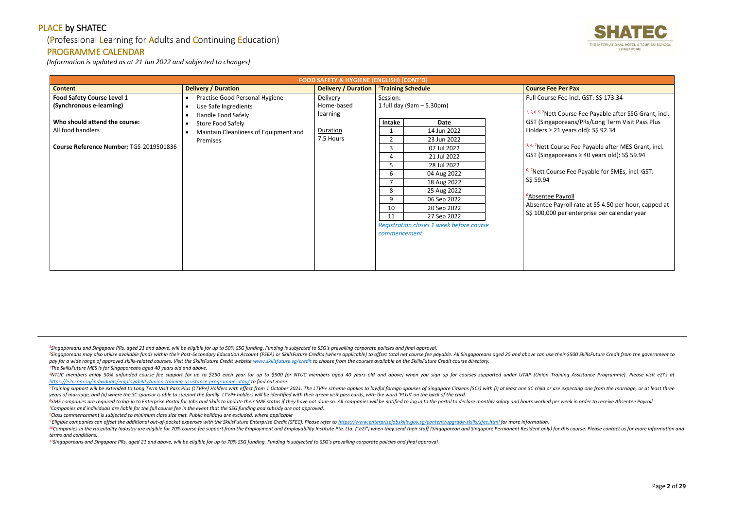## (Professional Learning for Adults and Continuing Education)

#### PROGRAMME CALENDAR

*(Information is updated as at 21 Jun 2022 and subjected to changes)*

<sup>2</sup>Singaporeans may also utilize available funds within their Post-Secondary Education Account (PSEA) or SkillsFuture Credits (where applicable) to offset total net course fee payable. All Singaporeans aged 25 and above ca pay for a wide range of approved skills-related courses. Visit the SkillsFuture Credit website www.skillsfuture.sa/credit to choose from the courses available on the SkillsFuture Credit course directory. *<sup>3</sup>The SkillsFuture MES is for Singaporeans aged 40 years old and above.*

<sup>4</sup>NTUC members enjoy 50% unfunded course fee support for up to \$250 each year (or up to \$500 for NTUC members aged 40 years old and above) when you sign up for courses supported under UTAP (Union Training Assistance Progr *<https://e2i.com.sg/individuals/employability/union-training-assistance-programme-utap/> to find out more.* 

<sup>5</sup>Training support will be extended to Long Term Visit Pass Plus (LTVP+) Holders with effect from 1 October 2021. The LTVP+ scheme applies to lawful foreign spouses of Singapore Citizens (SCs) with (i) at least one SC chi *years of marriage, and (ii) where the SC sponsor is able to support the family. LTVP+ holders will be identified with their green visit pass cards, with the word 'PLUS' on the back of the card.*

<sup>6</sup>SME companies are required to log-in to Enterprise Portal for Jobs and Skills to update their SME status if they have not done so. All companies will be notified to log in to the portal to declare monthly salary and hou *<sup>7</sup>Companies and individuals are liable for the full course fee in the event that the SSG funding and subsidy are not approved.*

<sup>9</sup> Eligible companies can offset the additional out-of-pocket expenses with the SkillsFuture Enterprise Credit (SFEC). Please refer to https://www.enterpriseiobskills.gov.sa/content/uparade-skills/sfec.html for more infor <sup>10</sup>Companies in the Hospitality Industry are eligible for 70% course fee support from the Employment and Employability Institute Pte. Ltd. ("e2i") when they send their staff (Singaporean and Singapore Permanent Resident o *terms and conditions.*

*1, 2,4, 5, <sup>7</sup>*Nett Course Fee Payable after SSG Grant, incl. aporeans/PRs/Long Term Visit Pass Plus 21 years old): S\$ 92.34

**Course Fee Payable after MES Grant, incl.**  $\text{aporeans} \geq 40 \text{ years}$  old): S\$ 59.94

*A A <i>A <i>A C <i>A COURE <b>COU COURE <b>COU COURE <b>COU COURE <b>COU COURE <b>COU COU* 

**Payroll** Payroll rate at S\$ 4.50 per hour, capped at 00 per enterprise per calendar year

*<sup>8</sup>Class commencement is subjected to minimum class size met. Public holidays are excluded, where applicable*

*<sup>11</sup>Singaporeans and Singapore PRs, aged 21 and above, will be eligible for up to 70% SSG funding. Funding is subjected to SSG's prevailing corporate policies and final approval.*



e Fee incl. GST: S\$ 173.34

| <b>FOOD SAFETY &amp; HYGIENE (ENGLISH) [CONT'D]</b> |                                                    |                            |               |                                          |                                        |
|-----------------------------------------------------|----------------------------------------------------|----------------------------|---------------|------------------------------------------|----------------------------------------|
| <b>Content</b>                                      | <b>Delivery / Duration</b>                         | <b>Delivery / Duration</b> |               | <sup>8</sup> Training Schedule           | <b>Course Fee Per Pax</b>              |
| <b>Food Safety Course Level 1</b>                   | Practise Good Personal Hygiene<br>$\bullet$        | <b>Delivery</b>            | Session:      |                                          | Full Course Fee incl.                  |
| (Synchronous e-learning)                            | Use Safe Ingredients<br>$\bullet$                  | Home-based                 |               | 1 full day $(9am - 5.30pm)$              |                                        |
|                                                     | Handle Food Safely<br>$\bullet$                    | learning                   |               |                                          | <sup>1, 2, 4, 5, 7</sup> Nett Course F |
| Who should attend the course:                       | Store Food Safely<br>$\bullet$                     |                            | Intake        | Date                                     | GST (Singaporeans/                     |
| All food handlers                                   | Maintain Cleanliness of Equipment and<br>$\bullet$ | Duration                   |               | 14 Jun 2022                              | Holders $\geq$ 21 years o              |
|                                                     | Premises                                           | 7.5 Hours                  | 2             | 23 Jun 2022                              |                                        |
| Course Reference Number: TGS-2019501836             |                                                    |                            | 3             | 07 Jul 2022                              | 3, 4, 7Nett Course Fee                 |
|                                                     |                                                    |                            | 4             | 21 Jul 2022                              | <b>GST (Singaporeans 3</b>             |
|                                                     |                                                    |                            | 5             | 28 Jul 2022                              |                                        |
|                                                     |                                                    |                            | 6             | 04 Aug 2022                              | <sup>6, 7</sup> Nett Course Fee F      |
|                                                     |                                                    |                            |               | 18 Aug 2022                              | S\$ 59.94                              |
|                                                     |                                                    |                            | 8             | 25 Aug 2022                              |                                        |
|                                                     |                                                    |                            | 9             | 06 Sep 2022                              | <sup>6</sup> Absentee Payroll          |
|                                                     |                                                    |                            | 10            | 20 Sep 2022                              | Absentee Payroll rat                   |
|                                                     |                                                    |                            | 11            | 27 Sep 2022                              | S\$ 100,000 per ente                   |
|                                                     |                                                    |                            |               | Registration closes 1 week before course |                                        |
|                                                     |                                                    |                            | commencement. |                                          |                                        |
|                                                     |                                                    |                            |               |                                          |                                        |
|                                                     |                                                    |                            |               |                                          |                                        |
|                                                     |                                                    |                            |               |                                          |                                        |
|                                                     |                                                    |                            |               |                                          |                                        |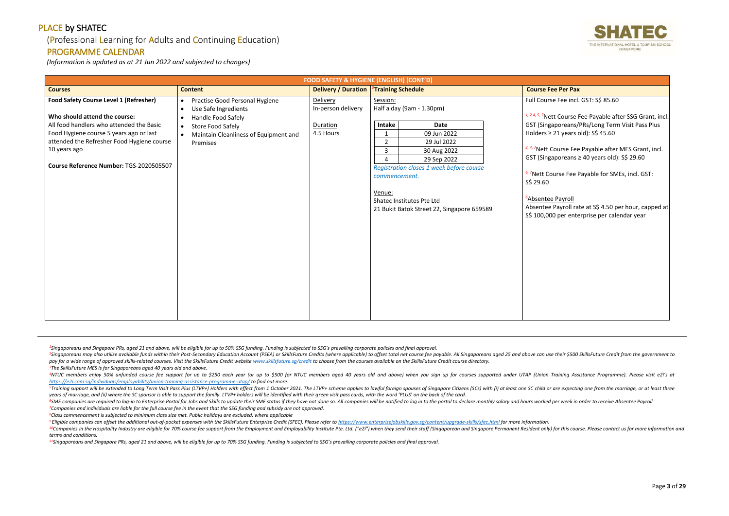## (Professional Learning for Adults and Continuing Education)

## PROGRAMME CALENDAR

*(Information is updated as at 21 Jun 2022 and subjected to changes)*

<sup>2</sup>Singaporeans may also utilize available funds within their Post-Secondary Education Account (PSEA) or SkillsFuture Credits (where applicable) to offset total net course fee payable. All Singaporeans aged 25 and above ca pay for a wide range of approved skills-related courses. Visit the SkillsFuture Credit website www.skillsfuture.sa/credit to choose from the courses available on the SkillsFuture Credit course directory. *<sup>3</sup>The SkillsFuture MES is for Singaporeans aged 40 years old and above.*

<sup>4</sup>NTUC members enjoy 50% unfunded course fee support for up to \$250 each year (or up to \$500 for NTUC members aged 40 years old and above) when you sign up for courses supported under UTAP (Union Training Assistance Progr *<https://e2i.com.sg/individuals/employability/union-training-assistance-programme-utap/> to find out more.* 

<sup>5</sup>Training support will be extended to Long Term Visit Pass Plus (LTVP+) Holders with effect from 1 October 2021. The LTVP+ scheme applies to lawful foreign spouses of Singapore Citizens (SCs) with (i) at least one SC chi *years of marriage, and (ii) where the SC sponsor is able to support the family. LTVP+ holders will be identified with their green visit pass cards, with the word 'PLUS' on the back of the card.*

<sup>6</sup>SME companies are required to log-in to Enterprise Portal for Jobs and Skills to update their SME status if they have not done so. All companies will be notified to log in to the portal to declare monthly salary and hou *<sup>7</sup>Companies and individuals are liable for the full course fee in the event that the SSG funding and subsidy are not approved.*

<sup>9</sup> Eligible companies can offset the additional out-of-pocket expenses with the SkillsFuture Enterprise Credit (SFEC). Please refer to https://www.enterpriseiobskills.gov.sa/content/uparade-skills/sfec.html for more infor <sup>10</sup>Companies in the Hospitality Industry are eligible for 70% course fee support from the Employment and Employability Institute Pte. Ltd. ("e2i") when they send their staff (Singaporean and Singapore Permanent Resident o *terms and conditions.*

*<sup>8</sup>Class commencement is subjected to minimum class size met. Public holidays are excluded, where applicable*

*<sup>11</sup>Singaporeans and Singapore PRs, aged 21 and above, will be eligible for up to 70% SSG funding. Funding is subjected to SSG's prevailing corporate policies and final approval.*



| <b>FOOD SAFETY &amp; HYGIENE (ENGLISH) [CONT'D]</b>                                                                                                                                                                                                                            |                                                                                                                                                                                                                     |                                                         |                                                                                                                                                                                                                                                                                                                     |                                                                                                                                                                                                                                                                                                                                                                                                                                                                                                                                               |
|--------------------------------------------------------------------------------------------------------------------------------------------------------------------------------------------------------------------------------------------------------------------------------|---------------------------------------------------------------------------------------------------------------------------------------------------------------------------------------------------------------------|---------------------------------------------------------|---------------------------------------------------------------------------------------------------------------------------------------------------------------------------------------------------------------------------------------------------------------------------------------------------------------------|-----------------------------------------------------------------------------------------------------------------------------------------------------------------------------------------------------------------------------------------------------------------------------------------------------------------------------------------------------------------------------------------------------------------------------------------------------------------------------------------------------------------------------------------------|
| <b>Courses</b>                                                                                                                                                                                                                                                                 | <b>Content</b>                                                                                                                                                                                                      | Delivery / Duration                                     | <sup>8</sup> Training Schedule                                                                                                                                                                                                                                                                                      | <b>Course Fee Per Pax</b>                                                                                                                                                                                                                                                                                                                                                                                                                                                                                                                     |
| <b>Food Safety Course Level 1 (Refresher)</b><br>Who should attend the course:<br>All food handlers who attended the Basic<br>Food Hygiene course 5 years ago or last<br>attended the Refresher Food Hygiene course<br>10 years ago<br>Course Reference Number: TGS-2020505507 | • Practise Good Personal Hygiene<br>Use Safe Ingredients<br>$\bullet$<br>Handle Food Safely<br>$\bullet$<br><b>Store Food Safely</b><br>$\bullet$<br>Maintain Cleanliness of Equipment and<br>$\bullet$<br>Premises | Delivery<br>In-person delivery<br>Duration<br>4.5 Hours | Session:<br>Half a day (9am - 1.30pm)<br>Intake<br><b>Date</b><br>09 Jun 2022<br>1<br>$\overline{2}$<br>29 Jul 2022<br>30 Aug 2022<br>$\mathbf{3}$<br>29 Sep 2022<br>Registration closes 1 week before course<br>commencement.<br>Venue:<br>Shatec Institutes Pte Ltd<br>21 Bukit Batok Street 22, Singapore 659589 | Full Course Fee incl. GST: S\$ 85.60<br>1, 2, 4, 5, 7Nett Course Fee Payable after SSG Grant, incl.<br>GST (Singaporeans/PRs/Long Term Visit Pass Plus<br>Holders $\geq$ 21 years old): S\$ 45.60<br><sup>3, 4, 7</sup> Nett Course Fee Payable after MES Grant, incl.<br>GST (Singaporeans ≥ 40 years old): S\$ 29.60<br><sup>6, 7</sup> Nett Course Fee Payable for SMEs, incl. GST:<br>S\$ 29.60<br><sup>6</sup> Absentee Payroll<br>Absentee Payroll rate at S\$ 4.50 per hour, capped at<br>S\$ 100,000 per enterprise per calendar year |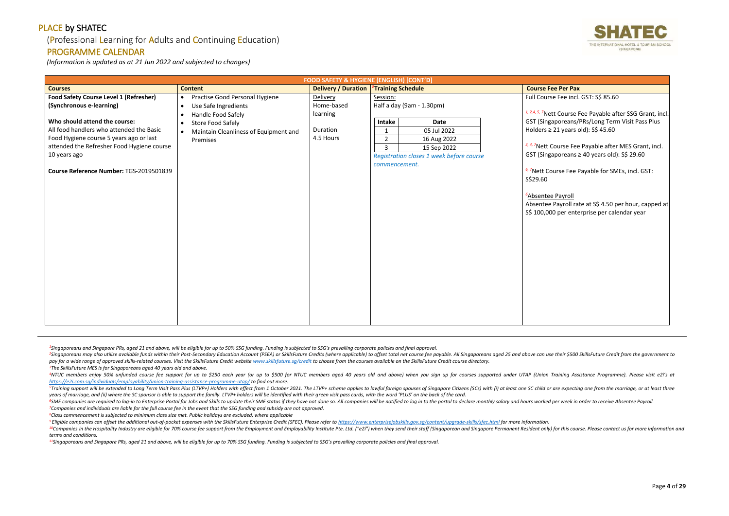## (Professional Learning for Adults and Continuing Education)

### PROGRAMME CALENDAR

*(Information is updated as at 21 Jun 2022 and subjected to changes)*

<sup>2</sup>Singaporeans may also utilize available funds within their Post-Secondary Education Account (PSEA) or SkillsFuture Credits (where applicable) to offset total net course fee payable. All Singaporeans aged 25 and above ca pay for a wide range of approved skills-related courses. Visit the SkillsFuture Credit website www.skillsfuture.sa/credit to choose from the courses available on the SkillsFuture Credit course directory. *<sup>3</sup>The SkillsFuture MES is for Singaporeans aged 40 years old and above.*

<sup>4</sup>NTUC members enjoy 50% unfunded course fee support for up to \$250 each year (or up to \$500 for NTUC members aged 40 years old and above) when you sign up for courses supported under UTAP (Union Training Assistance Progr *<https://e2i.com.sg/individuals/employability/union-training-assistance-programme-utap/> to find out more.*  <sup>5</sup>Training support will be extended to Long Term Visit Pass Plus (LTVP+) Holders with effect from 1 October 2021. The LTVP+ scheme applies to lawful foreign spouses of Singapore Citizens (SCs) with (i) at least one SC chi *years of marriage, and (ii) where the SC sponsor is able to support the family. LTVP+ holders will be identified with their green visit pass cards, with the word 'PLUS' on the back of the card.*

<sup>6</sup>SME companies are required to log-in to Enterprise Portal for Jobs and Skills to update their SME status if they have not done so. All companies will be notified to log in to the portal to declare monthly salary and hou *<sup>7</sup>Companies and individuals are liable for the full course fee in the event that the SSG funding and subsidy are not approved.*

<sup>9</sup> Eligible companies can offset the additional out-of-pocket expenses with the SkillsFuture Enterprise Credit (SFEC). Please refer to https://www.enterpriseiobskills.gov.sa/content/uparade-skills/sfec.html for more infor <sup>10</sup>Companies in the Hospitality Industry are eligible for 70% course fee support from the Employment and Employability Institute Pte. Ltd. ("e2i") when they send their staff (Singaporean and Singapore Permanent Resident o *terms and conditions.*

*<sup>8</sup>Class commencement is subjected to minimum class size met. Public holidays are excluded, where applicable*

*<sup>11</sup>Singaporeans and Singapore PRs, aged 21 and above, will be eligible for up to 70% SSG funding. Funding is subjected to SSG's prevailing corporate policies and final approval.*



| <b>FOOD SAFETY &amp; HYGIENE (ENGLISH) [CONT'D]</b> |                                                    |                     |                                          |                                                                        |  |  |
|-----------------------------------------------------|----------------------------------------------------|---------------------|------------------------------------------|------------------------------------------------------------------------|--|--|
| <b>Courses</b>                                      | <b>Content</b>                                     | Delivery / Duration | <sup>8</sup> Training Schedule           | <b>Course Fee Per Pax</b>                                              |  |  |
| <b>Food Safety Course Level 1 (Refresher)</b>       | Practise Good Personal Hygiene<br>$\bullet$        | Delivery            | Session:                                 | Full Course Fee incl. GST: S\$ 85.60                                   |  |  |
| (Synchronous e-learning)                            | Use Safe Ingredients<br>$\bullet$                  | Home-based          | Half a day (9am - 1.30pm)                |                                                                        |  |  |
|                                                     | Handle Food Safely<br>$\bullet$                    | learning            |                                          | <sup>1, 2,4, 5, 7</sup> Nett Course Fee Payable after SSG Grant, incl. |  |  |
| Who should attend the course:                       | <b>Store Food Safely</b><br>$\bullet$              |                     | Intake<br><b>Date</b>                    | GST (Singaporeans/PRs/Long Term Visit Pass Plus                        |  |  |
| All food handlers who attended the Basic            | Maintain Cleanliness of Equipment and<br>$\bullet$ | Duration            | 05 Jul 2022<br>$\mathbf{1}$              | Holders $\geq 21$ years old): S\$ 45.60                                |  |  |
| Food Hygiene course 5 years ago or last             | Premises                                           | 4.5 Hours           | $\overline{2}$<br>16 Aug 2022            |                                                                        |  |  |
| attended the Refresher Food Hygiene course          |                                                    |                     | $\mathbf{3}$<br>15 Sep 2022              | <sup>3, 4, 7</sup> Nett Course Fee Payable after MES Grant, incl.      |  |  |
| 10 years ago                                        |                                                    |                     | Registration closes 1 week before course | GST (Singaporeans $\geq$ 40 years old): S\$ 29.60                      |  |  |
|                                                     |                                                    |                     | commencement.                            |                                                                        |  |  |
| Course Reference Number: TGS-2019501839             |                                                    |                     |                                          | <sup>6, 7</sup> Nett Course Fee Payable for SMEs, incl. GST:           |  |  |
|                                                     |                                                    |                     |                                          | S\$29.60                                                               |  |  |
|                                                     |                                                    |                     |                                          | <sup>6</sup> Absentee Payroll                                          |  |  |
|                                                     |                                                    |                     |                                          | Absentee Payroll rate at S\$ 4.50 per hour, capped at                  |  |  |
|                                                     |                                                    |                     |                                          | S\$ 100,000 per enterprise per calendar year                           |  |  |
|                                                     |                                                    |                     |                                          |                                                                        |  |  |
|                                                     |                                                    |                     |                                          |                                                                        |  |  |
|                                                     |                                                    |                     |                                          |                                                                        |  |  |
|                                                     |                                                    |                     |                                          |                                                                        |  |  |
|                                                     |                                                    |                     |                                          |                                                                        |  |  |
|                                                     |                                                    |                     |                                          |                                                                        |  |  |
|                                                     |                                                    |                     |                                          |                                                                        |  |  |
|                                                     |                                                    |                     |                                          |                                                                        |  |  |
|                                                     |                                                    |                     |                                          |                                                                        |  |  |
|                                                     |                                                    |                     |                                          |                                                                        |  |  |
|                                                     |                                                    |                     |                                          |                                                                        |  |  |
|                                                     |                                                    |                     |                                          |                                                                        |  |  |
|                                                     |                                                    |                     |                                          |                                                                        |  |  |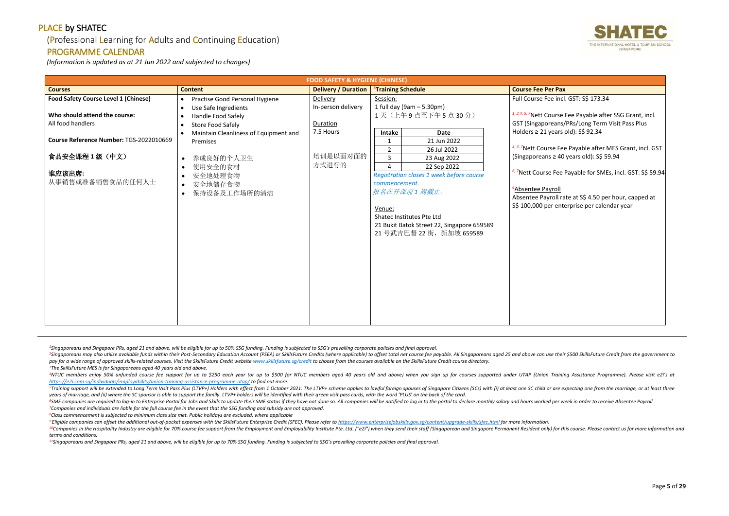## (Professional Learning for Adults and Continuing Education)

## PROGRAMME CALENDAR

*(Information is updated as at 21 Jun 2022 and subjected to changes)*

<sup>2</sup>Singaporeans may also utilize available funds within their Post-Secondary Education Account (PSEA) or SkillsFuture Credits (where applicable) to offset total net course fee payable. All Singaporeans aged 25 and above ca pay for a wide range of approved skills-related courses. Visit the SkillsFuture Credit website www.skillsfuture.sa/credit to choose from the courses available on the SkillsFuture Credit course directory. *<sup>3</sup>The SkillsFuture MES is for Singaporeans aged 40 years old and above.*

<sup>4</sup>NTUC members enjoy 50% unfunded course fee support for up to \$250 each year (or up to \$500 for NTUC members aged 40 years old and above) when you sign up for courses supported under UTAP (Union Training Assistance Progr *<https://e2i.com.sg/individuals/employability/union-training-assistance-programme-utap/> to find out more.* 

<sup>5</sup>Training support will be extended to Long Term Visit Pass Plus (LTVP+) Holders with effect from 1 October 2021. The LTVP+ scheme applies to lawful foreign spouses of Singapore Citizens (SCs) with (i) at least one SC chi *years of marriage, and (ii) where the SC sponsor is able to support the family. LTVP+ holders will be identified with their green visit pass cards, with the word 'PLUS' on the back of the card.*

<sup>6</sup>SME companies are required to log-in to Enterprise Portal for Jobs and Skills to update their SME status if they have not done so. All companies will be notified to log in to the portal to declare monthly salary and hou *<sup>7</sup>Companies and individuals are liable for the full course fee in the event that the SSG funding and subsidy are not approved.*

<sup>9</sup> Eligible companies can offset the additional out-of-pocket expenses with the SkillsFuture Enterprise Credit (SFEC). Please refer to https://www.enterpriseiobskills.gov.sa/content/uparade-skills/sfec.html for more infor <sup>10</sup>Companies in the Hospitality Industry are eligible for 70% course fee support from the Employment and Employability Institute Pte. Ltd. ("e2i") when they send their staff (Singaporean and Singapore Permanent Resident o *terms and conditions.*

*<sup>8</sup>Class commencement is subjected to minimum class size met. Public holidays are excluded, where applicable*

*<sup>11</sup>Singaporeans and Singapore PRs, aged 21 and above, will be eligible for up to 70% SSG funding. Funding is subjected to SSG's prevailing corporate policies and final approval.*



|                                                    | <b>FOOD SAFETY &amp; HYGIENE (CHINESE)</b>                                                       |                                |                                                                                                                                                                                                                |                                                                                                                                                                                                     |  |  |  |
|----------------------------------------------------|--------------------------------------------------------------------------------------------------|--------------------------------|----------------------------------------------------------------------------------------------------------------------------------------------------------------------------------------------------------------|-----------------------------------------------------------------------------------------------------------------------------------------------------------------------------------------------------|--|--|--|
| <b>Courses</b>                                     | <b>Content</b>                                                                                   | <b>Delivery / Duration</b>     | <sup>8</sup> Training Schedule                                                                                                                                                                                 | <b>Course Fee Per Pax</b>                                                                                                                                                                           |  |  |  |
| <b>Food Safety Course Level 1 (Chinese)</b>        | Practise Good Personal Hygiene<br>$\bullet$                                                      | Delivery                       | Session:                                                                                                                                                                                                       | Full Course Fee incl. GST: S\$ 173.34                                                                                                                                                               |  |  |  |
| Who should attend the course:<br>All food handlers | Use Safe Ingredients<br>$\bullet$<br>Handle Food Safely<br><b>Store Food Safely</b><br>$\bullet$ | In-person delivery<br>Duration | 1 full day $(9am - 5.30pm)$<br>1天(上午9点至下午5点30分)                                                                                                                                                                | <sup>1, 2,4, 5, 7</sup> Nett Course Fee Payable after SSG Grant, incl.<br>GST (Singaporeans/PRs/Long Term Visit Pass Plus                                                                           |  |  |  |
| Course Reference Number: TGS-2022010669            | Maintain Cleanliness of Equipment and<br>Premises                                                | 7.5 Hours                      | Intake<br><b>Date</b><br>21 Jun 2022<br>$\overline{2}$<br>26 Jul 2022                                                                                                                                          | Holders $\geq$ 21 years old): S\$ 92.34<br>3, 4, 7Nett Course Fee Payable after MES Grant, incl. GST                                                                                                |  |  |  |
| 食品安全课程1级(中文)                                       | 养成良好的个人卫生                                                                                        | 培训是以面对面的                       | $\overline{3}$<br>23 Aug 2022                                                                                                                                                                                  | (Singaporeans $\geq 40$ years old): S\$ 59.94                                                                                                                                                       |  |  |  |
| 谁应该出席:<br>从事销售或准备销售食品的任何人士                         | 使用安全的食材<br>安全地处理食物<br>安全地储存食物<br>$\bullet$<br>保持设备及工作场所的清洁<br>$\bullet$                          | 方式进行的                          | 22 Sep 2022<br>4<br>Registration closes 1 week before course<br>commencement.<br>报名在开课前1周截止。<br>Venue:<br>Shatec Institutes Pte Ltd<br>21 Bukit Batok Street 22, Singapore 659589<br>21 号武吉巴督 22 街, 新加坡 659589 | 6,7Nett Course Fee Payable for SMEs, incl. GST: S\$ 59.94<br><sup>6</sup> Absentee Payroll<br>Absentee Payroll rate at S\$ 4.50 per hour, capped at<br>S\$ 100,000 per enterprise per calendar year |  |  |  |
|                                                    |                                                                                                  |                                |                                                                                                                                                                                                                |                                                                                                                                                                                                     |  |  |  |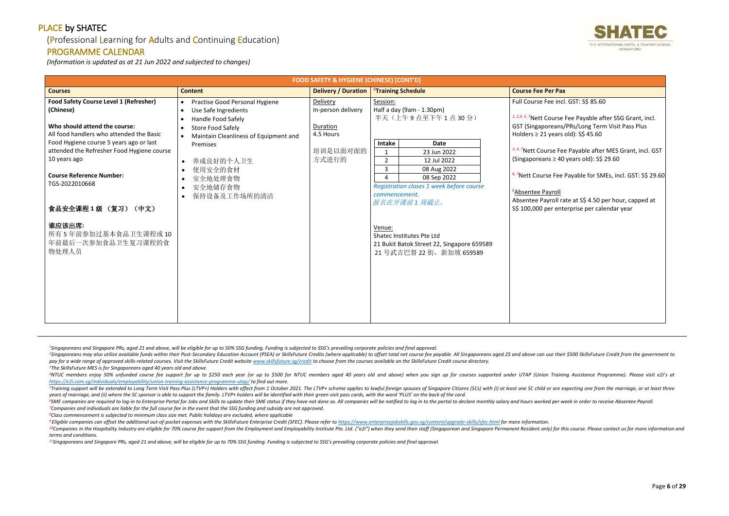## (Professional Learning for Adults and Continuing Education)

## PROGRAMME CALENDAR

*(Information is updated as at 21 Jun 2022 and subjected to changes)*

<sup>2</sup>Singaporeans may also utilize available funds within their Post-Secondary Education Account (PSEA) or SkillsFuture Credits (where applicable) to offset total net course fee payable. All Singaporeans aged 25 and above ca pay for a wide range of approved skills-related courses. Visit the SkillsFuture Credit website www.skillsfuture.sa/credit to choose from the courses available on the SkillsFuture Credit course directory. *<sup>3</sup>The SkillsFuture MES is for Singaporeans aged 40 years old and above.*

<sup>4</sup>NTUC members enjoy 50% unfunded course fee support for up to \$250 each year (or up to \$500 for NTUC members aged 40 years old and above) when you sign up for courses supported under UTAP (Union Training Assistance Progr *<https://e2i.com.sg/individuals/employability/union-training-assistance-programme-utap/> to find out more.*  <sup>5</sup>Training support will be extended to Long Term Visit Pass Plus (LTVP+) Holders with effect from 1 October 2021. The LTVP+ scheme applies to lawful foreign spouses of Singapore Citizens (SCs) with (i) at least one SC chi

<sup>6</sup>SME companies are required to log-in to Enterprise Portal for Jobs and Skills to update their SME status if they have not done so. All companies will be notified to log in to the portal to declare monthly salary and hou *<sup>7</sup>Companies and individuals are liable for the full course fee in the event that the SSG funding and subsidy are not approved.*

<sup>9</sup> Eligible companies can offset the additional out-of-pocket expenses with the SkillsFuture Enterprise Credit (SFEC). Please refer to https://www.enterpriseiobskills.gov.sa/content/uparade-skills/sfec.html for more infor <sup>10</sup>Companies in the Hospitality Industry are eligible for 70% course fee support from the Employment and Employability Institute Pte. Ltd. ("e2i") when they send their staff (Singaporean and Singapore Permanent Resident o *terms and conditions.*

*years of marriage, and (ii) where the SC sponsor is able to support the family. LTVP+ holders will be identified with their green visit pass cards, with the word 'PLUS' on the back of the card.*

*<sup>8</sup>Class commencement is subjected to minimum class size met. Public holidays are excluded, where applicable*

*<sup>11</sup>Singaporeans and Singapore PRs, aged 21 and above, will be eligible for up to 70% SSG funding. Funding is subjected to SSG's prevailing corporate policies and final approval.*



|                                                                                                                                                                                                                                         | <b>FOOD SAFETY &amp; HYGIENE (CHINESE) [CONT'D]</b>                                                                           |                                            |                                                                                                                                                                                            |                                                                                                                                                                                                                                                                                   |  |  |  |
|-----------------------------------------------------------------------------------------------------------------------------------------------------------------------------------------------------------------------------------------|-------------------------------------------------------------------------------------------------------------------------------|--------------------------------------------|--------------------------------------------------------------------------------------------------------------------------------------------------------------------------------------------|-----------------------------------------------------------------------------------------------------------------------------------------------------------------------------------------------------------------------------------------------------------------------------------|--|--|--|
| <b>Courses</b>                                                                                                                                                                                                                          | <b>Content</b>                                                                                                                | <b>Delivery / Duration</b>                 | <sup>8</sup> Training Schedule                                                                                                                                                             | <b>Course Fee Per Pax</b>                                                                                                                                                                                                                                                         |  |  |  |
| <b>Food Safety Course Level 1 (Refresher)</b><br>(Chinese)                                                                                                                                                                              | Practise Good Personal Hygiene<br>$\bullet$<br>Use Safe Ingredients<br>$\bullet$<br>Handle Food Safely<br>$\bullet$           | Delivery<br>In-person delivery             | Session:<br>Half a day (9am - 1.30pm)<br>半天(上午9点至下午1点30分)                                                                                                                                  | Full Course Fee incl. GST: S\$ 85.60<br><sup>1, 2,4, 5, 7</sup> Nett Course Fee Payable after SSG Grant, incl.                                                                                                                                                                    |  |  |  |
| Who should attend the course:<br>All food handlers who attended the Basic<br>Food Hygiene course 5 years ago or last<br>attended the Refresher Food Hygiene course<br>10 years ago<br><b>Course Reference Number:</b><br>TGS-2022010668 | <b>Store Food Safely</b><br>$\bullet$<br>Maintain Cleanliness of Equipment and<br>Premises<br>养成良好的个人卫生<br>使用安全的食材<br>安全地处理食物 | Duration<br>4.5 Hours<br>培训是以面对面的<br>方式进行的 | Intake<br>Date<br>23 Jun 2022<br>1<br>$\overline{2}$<br>12 Jul 2022<br>3<br>08 Aug 2022<br>08 Sep 2022<br>4                                                                                | GST (Singaporeans/PRs/Long Term Visit Pass Plus<br>Holders $\geq$ 21 years old): S\$ 45.60<br><sup>3, 4, 7</sup> Nett Course Fee Payable after MES Grant, incl. GST<br>(Singaporeans $\geq 40$ years old): S\$ 29.60<br>6,7Nett Course Fee Payable for SMEs, incl. GST: S\$ 29.60 |  |  |  |
| 食品安全课程1级 (复习) (中文)<br>谁应该出席:<br>所有5年前参加过基本食品卫生课程或10<br>年前最后一次参加食品卫生复习课程的食<br>物处理人员                                                                                                                                                      | 安全地储存食物<br>保持设备及工作场所的清洁                                                                                                       |                                            | Registration closes 1 week before course<br>commencement.<br>报名在开课前1周截止。<br>Venue:<br>Shatec Institutes Pte Ltd<br>21 Bukit Batok Street 22, Singapore 659589<br>21 号武吉巴督 22 街, 新加坡 659589 | <sup>6</sup> Absentee Payroll<br>Absentee Payroll rate at S\$ 4.50 per hour, capped at<br>S\$ 100,000 per enterprise per calendar year                                                                                                                                            |  |  |  |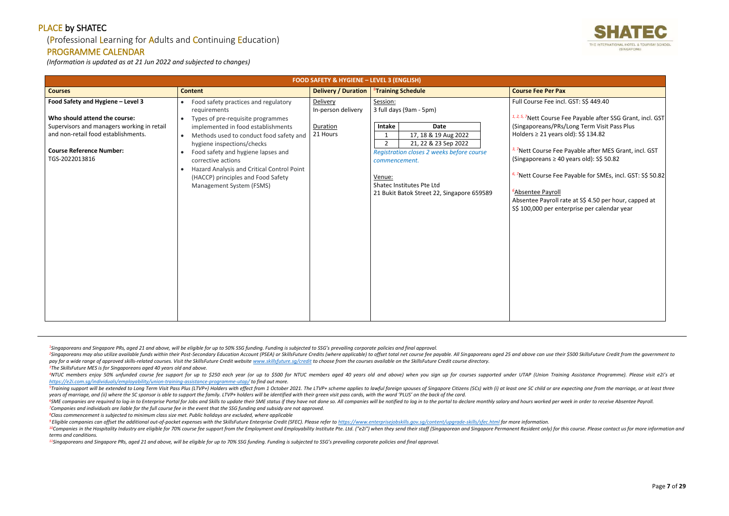#### (Professional Learning for Adults and Continuing Education)

## PROGRAMME CALENDAR

*(Information is updated as at 21 Jun 2022 and subjected to changes)*

<sup>2</sup>Singaporeans may also utilize available funds within their Post-Secondary Education Account (PSEA) or SkillsFuture Credits (where applicable) to offset total net course fee payable. All Singaporeans aged 25 and above ca pay for a wide range of approved skills-related courses. Visit the SkillsFuture Credit website www.skillsfuture.sa/credit to choose from the courses available on the SkillsFuture Credit course directory. *<sup>3</sup>The SkillsFuture MES is for Singaporeans aged 40 years old and above.*

<sup>4</sup>NTUC members enjoy 50% unfunded course fee support for up to \$250 each year (or up to \$500 for NTUC members aged 40 years old and above) when you sign up for courses supported under UTAP (Union Training Assistance Progr *<https://e2i.com.sg/individuals/employability/union-training-assistance-programme-utap/> to find out more.* 

<sup>5</sup>Training support will be extended to Long Term Visit Pass Plus (LTVP+) Holders with effect from 1 October 2021. The LTVP+ scheme applies to lawful foreign spouses of Singapore Citizens (SCs) with (i) at least one SC chi *years of marriage, and (ii) where the SC sponsor is able to support the family. LTVP+ holders will be identified with their green visit pass cards, with the word 'PLUS' on the back of the card.*

<sup>6</sup>SME companies are required to log-in to Enterprise Portal for Jobs and Skills to update their SME status if they have not done so. All companies will be notified to log in to the portal to declare monthly salary and hou *<sup>7</sup>Companies and individuals are liable for the full course fee in the event that the SSG funding and subsidy are not approved.*

<sup>9</sup> Eligible companies can offset the additional out-of-pocket expenses with the SkillsFuture Enterprise Credit (SFEC). Please refer to https://www.enterpriseiobskills.gov.sa/content/uparade-skills/sfec.html for more infor <sup>10</sup>Companies in the Hospitality Industry are eligible for 70% course fee support from the Employment and Employability Institute Pte. Ltd. ("e2i") when they send their staff (Singaporean and Singapore Permanent Resident o *terms and conditions.*

*<sup>8</sup>Class commencement is subjected to minimum class size met. Public holidays are excluded, where applicable*

*<sup>11</sup>Singaporeans and Singapore PRs, aged 21 and above, will be eligible for up to 70% SSG funding. Funding is subjected to SSG's prevailing corporate policies and final approval.*



- 
- 

| <b>FOOD SAFETY &amp; HYGIENE - LEVEL 3 (ENGLISH)</b>                                                                                                                                                         |                                                                                                                                                                                                                                                                                                                                                                                                                                                       |                                                        |                                                                                                                                                                                                                                                                         |                                                                                                                                                                                                                                                                                                                                                                                                                                                                                                                                           |
|--------------------------------------------------------------------------------------------------------------------------------------------------------------------------------------------------------------|-------------------------------------------------------------------------------------------------------------------------------------------------------------------------------------------------------------------------------------------------------------------------------------------------------------------------------------------------------------------------------------------------------------------------------------------------------|--------------------------------------------------------|-------------------------------------------------------------------------------------------------------------------------------------------------------------------------------------------------------------------------------------------------------------------------|-------------------------------------------------------------------------------------------------------------------------------------------------------------------------------------------------------------------------------------------------------------------------------------------------------------------------------------------------------------------------------------------------------------------------------------------------------------------------------------------------------------------------------------------|
| <b>Courses</b>                                                                                                                                                                                               | <b>Content</b>                                                                                                                                                                                                                                                                                                                                                                                                                                        | <b>Delivery / Duration</b>                             | <sup>8</sup> Training Schedule                                                                                                                                                                                                                                          | <b>Course Fee Per Pax</b>                                                                                                                                                                                                                                                                                                                                                                                                                                                                                                                 |
| Food Safety and Hygiene - Level 3<br>Who should attend the course:<br>Supervisors and managers working in retail<br>and non-retail food establishments.<br><b>Course Reference Number:</b><br>TGS-2022013816 | Food safety practices and regulatory<br>$\bullet$<br>requirements<br>Types of pre-requisite programmes<br>$\bullet$<br>implemented in food establishments<br>Methods used to conduct food safety and<br>$\bullet$<br>hygiene inspections/checks<br>Food safety and hygiene lapses and<br>$\bullet$<br>corrective actions<br>Hazard Analysis and Critical Control Point<br>$\bullet$<br>(HACCP) principles and Food Safety<br>Management System (FSMS) | Delivery<br>In-person delivery<br>Duration<br>21 Hours | Session:<br>3 full days (9am - 5pm)<br>Intake<br>Date<br>17, 18 & 19 Aug 2022<br>$2^{\circ}$<br>21, 22 & 23 Sep 2022<br>Registration closes 2 weeks before course<br>commencement.<br>Venue:<br>Shatec Institutes Pte Ltd<br>21 Bukit Batok Street 22, Singapore 659589 | Full Course Fee incl. GST: S\$ 449.40<br><sup>1, 2, 5, 7</sup> Nett Course Fee Payable after SSG Grant, incl. GST<br>(Singaporeans/PRs/Long Term Visit Pass Plus<br>Holders $\geq$ 21 years old): S\$ 134.82<br><sup>3,7</sup> Nett Course Fee Payable after MES Grant, incl. GST<br>(Singaporeans $\geq$ 40 years old): S\$ 50.82<br>6,7Nett Course Fee Payable for SMEs, incl. GST: S\$ 50.82<br><sup>6</sup> Absentee Payroll<br>Absentee Payroll rate at S\$ 4.50 per hour, capped at<br>S\$ 100,000 per enterprise per calendar year |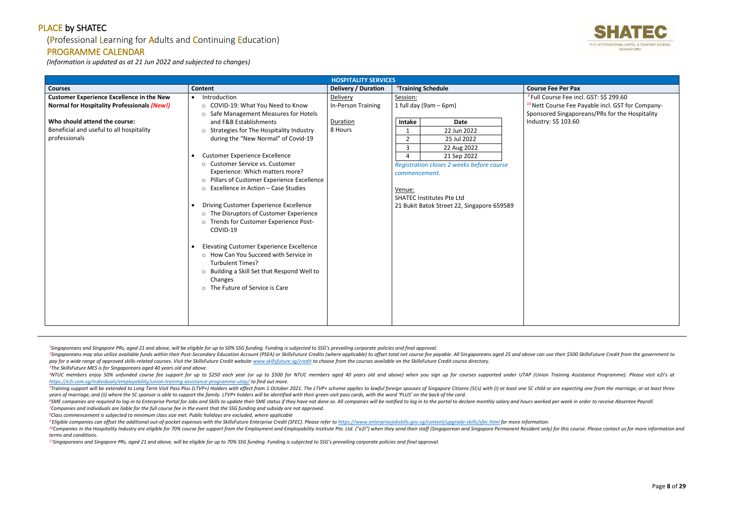## (Professional Learning for Adults and Continuing Education)

#### PROGRAMME CALENDAR

*(Information is updated as at 21 Jun 2022 and subjected to changes)*

<sup>2</sup>Singaporeans may also utilize available funds within their Post-Secondary Education Account (PSEA) or SkillsFuture Credits (where applicable) to offset total net course fee payable. All Singaporeans aged 25 and above ca pay for a wide range of approved skills-related courses. Visit the SkillsFuture Credit website www.skillsfuture.sa/credit to choose from the courses available on the SkillsFuture Credit course directory. *<sup>3</sup>The SkillsFuture MES is for Singaporeans aged 40 years old and above.*

<sup>4</sup>NTUC members enjoy 50% unfunded course fee support for up to \$250 each year (or up to \$500 for NTUC members aged 40 years old and above) when you sign up for courses supported under UTAP (Union Training Assistance Progr *<https://e2i.com.sg/individuals/employability/union-training-assistance-programme-utap/> to find out more.* 

<sup>5</sup>Training support will be extended to Long Term Visit Pass Plus (LTVP+) Holders with effect from 1 October 2021. The LTVP+ scheme applies to lawful foreign spouses of Singapore Citizens (SCs) with (i) at least one SC chi *years of marriage, and (ii) where the SC sponsor is able to support the family. LTVP+ holders will be identified with their green visit pass cards, with the word 'PLUS' on the back of the card.*

<sup>6</sup>SME companies are required to log-in to Enterprise Portal for Jobs and Skills to update their SME status if they have not done so. All companies will be notified to log in to the portal to declare monthly salary and hou *<sup>7</sup>Companies and individuals are liable for the full course fee in the event that the SSG funding and subsidy are not approved.*

<sup>9</sup> Eligible companies can offset the additional out-of-pocket expenses with the SkillsFuture Enterprise Credit (SFEC). Please refer to https://www.enterpriseiobskills.gov.sa/content/uparade-skills/sfec.html for more infor <sup>10</sup>Companies in the Hospitality Industry are eligible for 70% course fee support from the Employment and Employability Institute Pte. Ltd. ("e2i") when they send their staff (Singaporean and Singapore Permanent Resident o *terms and conditions.*

*<sup>4</sup>*Full Course Fee incl. GST: S\$ 299.60 burse Fee Payable incl. GST for Companyed Singaporeans/PRs for the Hospitality S\$ 103.60

*<sup>8</sup>Class commencement is subjected to minimum class size met. Public holidays are excluded, where applicable*

*<sup>11</sup>Singaporeans and Singapore PRs, aged 21 and above, will be eligible for up to 70% SSG funding. Funding is subjected to SSG's prevailing corporate policies and final approval.*



|                                                                                                                                                                                                      |                                                                                                                                                                                                                                                                                                                                                                                                                                           | <b>HOSPITALITY SERVICES</b>                           |                                                                                                                                                                                                                                                                               |                                                                                                                 |
|------------------------------------------------------------------------------------------------------------------------------------------------------------------------------------------------------|-------------------------------------------------------------------------------------------------------------------------------------------------------------------------------------------------------------------------------------------------------------------------------------------------------------------------------------------------------------------------------------------------------------------------------------------|-------------------------------------------------------|-------------------------------------------------------------------------------------------------------------------------------------------------------------------------------------------------------------------------------------------------------------------------------|-----------------------------------------------------------------------------------------------------------------|
| <b>Courses</b>                                                                                                                                                                                       | <b>Content</b>                                                                                                                                                                                                                                                                                                                                                                                                                            | <b>Delivery / Duration</b>                            | <sup>8</sup> Training Schedule                                                                                                                                                                                                                                                | <b>Course Fee Per Pax</b>                                                                                       |
| <b>Customer Experience Excellence in the New</b><br><b>Normal for Hospitality Professionals (New!)</b><br>Who should attend the course:<br>Beneficial and useful to all hospitality<br>professionals | Introduction<br>$\bullet$<br>○ COVID-19: What You Need to Know<br>○ Safe Management Measures for Hotels<br>and F&B Establishments<br>○ Strategies for The Hospitality Industry<br>during the "New Normal" of Covid-19<br><b>Customer Experience Excellence</b><br>$\bullet$<br>○ Customer Service vs. Customer<br>Experience: Which matters more?<br>o Pillars of Customer Experience Excellence<br>○ Excellence in Action – Case Studies | Delivery<br>In-Person Training<br>Duration<br>8 Hours | Session:<br>1 full day (9am $-$ 6pm)<br><b>Date</b><br><b>Intake</b><br>22 Jun 2022<br>1<br>$\overline{2}$<br>25 Jul 2022<br>3<br>22 Aug 2022<br>21 Sep 2022<br>4<br>Registration closes 2 weeks before course<br>commencement.<br>Venue:<br><b>SHATEC Institutes Pte Ltd</b> | <sup>4</sup> Full Course Fee in<br><sup>10</sup> Nett Course Fee F<br>Sponsored Singapo<br>Industry: S\$ 103.60 |
|                                                                                                                                                                                                      | Driving Customer Experience Excellence<br>o The Disruptors of Customer Experience<br>o Trends for Customer Experience Post-<br>COVID-19<br><b>Elevating Customer Experience Excellence</b><br>○ How Can You Succeed with Service in<br><b>Turbulent Times?</b><br>o Building a Skill Set that Respond Well to<br>Changes<br>o The Future of Service is Care                                                                               |                                                       | 21 Bukit Batok Street 22, Singapore 659589                                                                                                                                                                                                                                    |                                                                                                                 |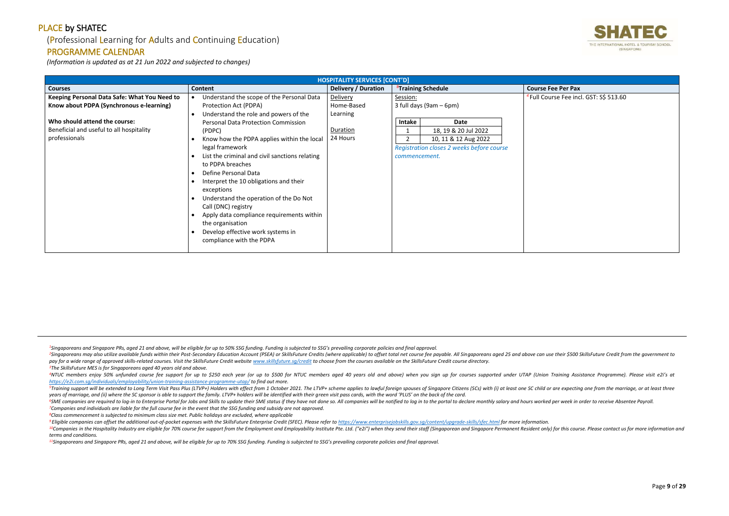## (Professional Learning for Adults and Continuing Education)

#### PROGRAMME CALENDAR

*(Information is updated as at 21 Jun 2022 and subjected to changes)*

<sup>2</sup>Singaporeans may also utilize available funds within their Post-Secondary Education Account (PSEA) or SkillsFuture Credits (where applicable) to offset total net course fee payable. All Singaporeans aged 25 and above ca pay for a wide range of approved skills-related courses. Visit the SkillsFuture Credit website www.skillsfuture.sa/credit to choose from the courses available on the SkillsFuture Credit course directory. *<sup>3</sup>The SkillsFuture MES is for Singaporeans aged 40 years old and above.*

<sup>4</sup>NTUC members enjoy 50% unfunded course fee support for up to \$250 each year (or up to \$500 for NTUC members aged 40 years old and above) when you sign up for courses supported under UTAP (Union Training Assistance Progr *<https://e2i.com.sg/individuals/employability/union-training-assistance-programme-utap/> to find out more.* 

<sup>5</sup>Training support will be extended to Long Term Visit Pass Plus (LTVP+) Holders with effect from 1 October 2021. The LTVP+ scheme applies to lawful foreign spouses of Singapore Citizens (SCs) with (i) at least one SC chi *years of marriage, and (ii) where the SC sponsor is able to support the family. LTVP+ holders will be identified with their green visit pass cards, with the word 'PLUS' on the back of the card.*

<sup>6</sup>SME companies are required to log-in to Enterprise Portal for Jobs and Skills to update their SME status if they have not done so. All companies will be notified to log in to the portal to declare monthly salary and hou *<sup>7</sup>Companies and individuals are liable for the full course fee in the event that the SSG funding and subsidy are not approved.*

<sup>9</sup> Eligible companies can offset the additional out-of-pocket expenses with the SkillsFuture Enterprise Credit (SFEC). Please refer to https://www.enterpriseiobskills.gov.sa/content/uparade-skills/sfec.html for more infor <sup>10</sup>Companies in the Hospitality Industry are eligible for 70% course fee support from the Employment and Employability Institute Pte. Ltd. ("e2i") when they send their staff (Singaporean and Singapore Permanent Resident o *terms and conditions.*

*<sup>8</sup>Class commencement is subjected to minimum class size met. Public holidays are excluded, where applicable*

*<sup>11</sup>Singaporeans and Singapore PRs, aged 21 and above, will be eligible for up to 70% SSG funding. Funding is subjected to SSG's prevailing corporate policies and final approval.*



*Irse Fee incl. GST: S\$ 513.60* 

|                                              | <b>HOSPITALITY SERVICES [CONT'D]</b>           |                            |               |                                           |                                  |
|----------------------------------------------|------------------------------------------------|----------------------------|---------------|-------------------------------------------|----------------------------------|
| <b>Courses</b>                               | Content                                        | <b>Delivery / Duration</b> |               | <sup>8</sup> Training Schedule            | <b>Course Fee Per Pax</b>        |
| Keeping Personal Data Safe: What You Need to | Understand the scope of the Personal Data      | Delivery                   | Session:      |                                           | <sup>4</sup> Full Course Fee ind |
| Know about PDPA (Synchronous e-learning)     | Protection Act (PDPA)                          | Home-Based                 |               | 3 full days $(9am - 6pm)$                 |                                  |
|                                              | Understand the role and powers of the          | Learning                   |               |                                           |                                  |
| Who should attend the course:                | <b>Personal Data Protection Commission</b>     |                            | <b>Intake</b> | Date                                      |                                  |
| Beneficial and useful to all hospitality     | (PDPC)                                         | Duration                   |               | 18, 19 & 20 Jul 2022                      |                                  |
| professionals                                | Know how the PDPA applies within the local     | 24 Hours                   |               | 10, 11 & 12 Aug 2022                      |                                  |
|                                              | legal framework                                |                            |               | Registration closes 2 weeks before course |                                  |
|                                              | List the criminal and civil sanctions relating |                            | commencement. |                                           |                                  |
|                                              | to PDPA breaches                               |                            |               |                                           |                                  |
|                                              | Define Personal Data                           |                            |               |                                           |                                  |
|                                              | Interpret the 10 obligations and their         |                            |               |                                           |                                  |
|                                              | exceptions                                     |                            |               |                                           |                                  |
|                                              | Understand the operation of the Do Not         |                            |               |                                           |                                  |
|                                              | Call (DNC) registry                            |                            |               |                                           |                                  |
|                                              | Apply data compliance requirements within      |                            |               |                                           |                                  |
|                                              | the organisation                               |                            |               |                                           |                                  |
|                                              | Develop effective work systems in              |                            |               |                                           |                                  |
|                                              | compliance with the PDPA                       |                            |               |                                           |                                  |
|                                              |                                                |                            |               |                                           |                                  |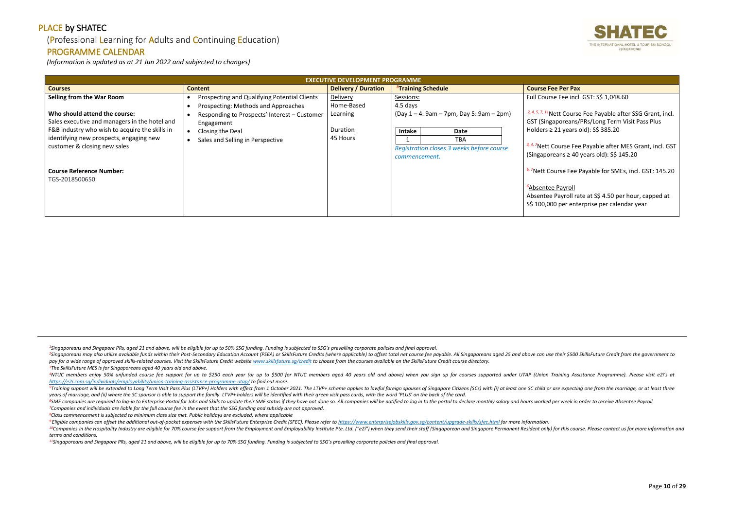#### (Professional Learning for Adults and Continuing Education)

#### PROGRAMME CALENDAR

*(Information is updated as at 21 Jun 2022 and subjected to changes)*

<sup>2</sup>Singaporeans may also utilize available funds within their Post-Secondary Education Account (PSEA) or SkillsFuture Credits (where applicable) to offset total net course fee payable. All Singaporeans aged 25 and above ca pay for a wide range of approved skills-related courses. Visit the SkillsFuture Credit website www.skillsfuture.sa/credit to choose from the courses available on the SkillsFuture Credit course directory. *<sup>3</sup>The SkillsFuture MES is for Singaporeans aged 40 years old and above.*

<sup>4</sup>NTUC members enjoy 50% unfunded course fee support for up to \$250 each year (or up to \$500 for NTUC members aged 40 years old and above) when you sign up for courses supported under UTAP (Union Training Assistance Progr *<https://e2i.com.sg/individuals/employability/union-training-assistance-programme-utap/> to find out more.* 

<sup>5</sup>Training support will be extended to Long Term Visit Pass Plus (LTVP+) Holders with effect from 1 October 2021. The LTVP+ scheme applies to lawful foreign spouses of Singapore Citizens (SCs) with (i) at least one SC chi *years of marriage, and (ii) where the SC sponsor is able to support the family. LTVP+ holders will be identified with their green visit pass cards, with the word 'PLUS' on the back of the card.*

<sup>6</sup>SME companies are required to log-in to Enterprise Portal for Jobs and Skills to update their SME status if they have not done so. All companies will be notified to log in to the portal to declare monthly salary and hou *<sup>7</sup>Companies and individuals are liable for the full course fee in the event that the SSG funding and subsidy are not approved.*

<sup>9</sup> Eligible companies can offset the additional out-of-pocket expenses with the SkillsFuture Enterprise Credit (SFEC). Please refer to https://www.enterpriseiobskills.gov.sa/content/uparade-skills/sfec.html for more infor <sup>10</sup>Companies in the Hospitality Industry are eligible for 70% course fee support from the Employment and Employability Institute Pte. Ltd. ("e2i") when they send their staff (Singaporean and Singapore Permanent Resident o *terms and conditions.*

Course Fee Payable after MES Grant, incl. GST (Singaporeans ≥ 40 years old): S\$ 145.20

ourse Fee Payable for SMEs, incl. GST: 145.20

*e* Payroll Absentee Payroll rate at S\$ 4.50 per hour, capped at 00 per enterprise per calendar year

*<sup>8</sup>Class commencement is subjected to minimum class size met. Public holidays are excluded, where applicable*

*<sup>11</sup>Singaporeans and Singapore PRs, aged 21 and above, will be eligible for up to 70% SSG funding. Funding is subjected to SSG's prevailing corporate policies and final approval.*



se Fee incl. GST: S\$ 1,048.60

**Parable of the Payable after SSG Grant, incl.** aporeans/PRs/Long Term Visit Pass Plus 21 years old): S\$ 385.20

| <b>EXECUTIVE DEVELOPMENT PROGRAMME</b>                     |                                     |                                                                                                          |                                                                                                                   |  |
|------------------------------------------------------------|-------------------------------------|----------------------------------------------------------------------------------------------------------|-------------------------------------------------------------------------------------------------------------------|--|
| <b>Content</b>                                             | <b>Delivery / Duration</b>          | <sup>8</sup> Training Schedule                                                                           | <b>Course Fee Per Pax</b>                                                                                         |  |
| Prospecting and Qualifying Potential Clients               | Delivery<br>Home-Based              | Sessions:                                                                                                | <b>Full Course Fee incl</b>                                                                                       |  |
| Responding to Prospects' Interest - Customer<br>Engagement | Learning                            | $(Day 1 - 4: 9am - 7pm, Day 5: 9am - 2pm)$                                                               | <sup>2, 4, 5, 7, 11</sup> Nett Course<br>GST (Singaporeans/                                                       |  |
| Closing the Deal<br>Sales and Selling in Perspective       | Duration<br>45 Hours                | <b>Intake</b><br><b>Date</b><br><b>TBA</b><br>Registration closes 3 weeks before course<br>commencement. | Holders $\geq$ 21 years<br><sup>3, 4, 7</sup> Nett Course Fee<br>(Singaporeans $\geq 40$                          |  |
|                                                            |                                     |                                                                                                          | <sup>6, 7</sup> Nett Course Fee I<br><sup>6</sup> Absentee Payroll<br>Absentee Payroll ra<br>S\$ 100,000 per ente |  |
|                                                            | Prospecting: Methods and Approaches |                                                                                                          | 4.5 days                                                                                                          |  |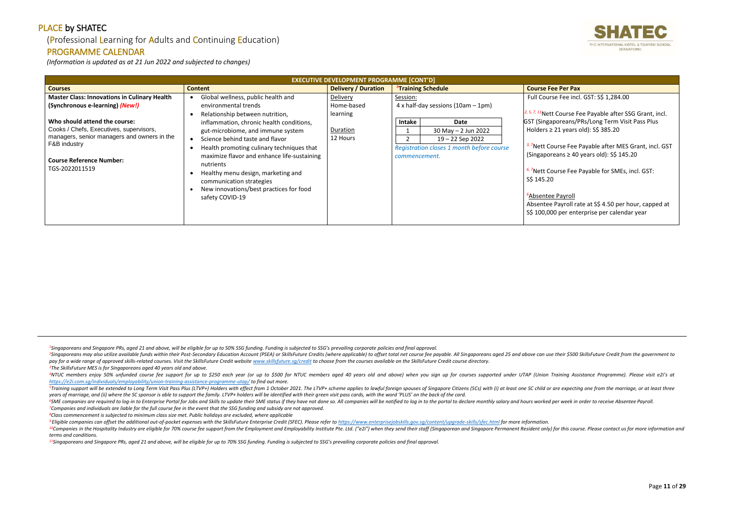## (Professional Learning for Adults and Continuing Education)

#### PROGRAMME CALENDAR

*(Information is updated as at 21 Jun 2022 and subjected to changes)*

<sup>2</sup>Singaporeans may also utilize available funds within their Post-Secondary Education Account (PSEA) or SkillsFuture Credits (where applicable) to offset total net course fee payable. All Singaporeans aged 25 and above ca pay for a wide range of approved skills-related courses. Visit the SkillsFuture Credit website www.skillsfuture.sa/credit to choose from the courses available on the SkillsFuture Credit course directory. *<sup>3</sup>The SkillsFuture MES is for Singaporeans aged 40 years old and above.*

<sup>4</sup>NTUC members enjoy 50% unfunded course fee support for up to \$250 each year (or up to \$500 for NTUC members aged 40 years old and above) when you sign up for courses supported under UTAP (Union Training Assistance Progr *<https://e2i.com.sg/individuals/employability/union-training-assistance-programme-utap/> to find out more.* 

<sup>5</sup>Training support will be extended to Long Term Visit Pass Plus (LTVP+) Holders with effect from 1 October 2021. The LTVP+ scheme applies to lawful foreign spouses of Singapore Citizens (SCs) with (i) at least one SC chi *years of marriage, and (ii) where the SC sponsor is able to support the family. LTVP+ holders will be identified with their green visit pass cards, with the word 'PLUS' on the back of the card.*

<sup>6</sup>SME companies are required to log-in to Enterprise Portal for Jobs and Skills to update their SME status if they have not done so. All companies will be notified to log in to the portal to declare monthly salary and hou *<sup>7</sup>Companies and individuals are liable for the full course fee in the event that the SSG funding and subsidy are not approved.*

<sup>9</sup> Eligible companies can offset the additional out-of-pocket expenses with the SkillsFuture Enterprise Credit (SFEC). Please refer to https://www.enterpriseiobskills.gov.sa/content/uparade-skills/sfec.html for more infor <sup>10</sup>Companies in the Hospitality Industry are eligible for 70% course fee support from the Employment and Employability Institute Pte. Ltd. ("e2i") when they send their staff (Singaporean and Singapore Permanent Resident o *terms and conditions.*

*2, 5, 7, 11*Nett Course Fee Payable after SSG Grant, incl. poreans/PRs/Long Term Visit Pass Plus 21 years old): S\$ 385.20

**Jurse Fee Payable after MES Grant, incl. GST** (Singaporeans ≥ 40 years old): S\$ 145.20

**Produce Fee Payable for SMEs, incl. GST:** 

**Payroll** Payroll rate at S\$ 4.50 per hour, capped at 00 per enterprise per calendar year

*<sup>8</sup>Class commencement is subjected to minimum class size met. Public holidays are excluded, where applicable*

*<sup>11</sup>Singaporeans and Singapore PRs, aged 21 and above, will be eligible for up to 70% SSG funding. Funding is subjected to SSG's prevailing corporate policies and final approval.*



se Fee incl. GST: S\$ 1,284.00

|                                                                                                                                                                                                                                                                                        | <b>EXECUTIVE DEVELOPMENT PROGRAMME [CONT'D]</b>                                                                                                                                                                                                                                                                                                                                                                                                      |                                                                   |                                            |                                                                                                                                           |                                                                                                                                                                                                                                                                          |
|----------------------------------------------------------------------------------------------------------------------------------------------------------------------------------------------------------------------------------------------------------------------------------------|------------------------------------------------------------------------------------------------------------------------------------------------------------------------------------------------------------------------------------------------------------------------------------------------------------------------------------------------------------------------------------------------------------------------------------------------------|-------------------------------------------------------------------|--------------------------------------------|-------------------------------------------------------------------------------------------------------------------------------------------|--------------------------------------------------------------------------------------------------------------------------------------------------------------------------------------------------------------------------------------------------------------------------|
| <b>Courses</b>                                                                                                                                                                                                                                                                         | <b>Content</b>                                                                                                                                                                                                                                                                                                                                                                                                                                       | <b>Delivery / Duration</b>                                        |                                            | <sup>8</sup> Training Schedule                                                                                                            | <b>Course Fee Per Pax</b>                                                                                                                                                                                                                                                |
| <b>Master Class: Innovations in Culinary Health</b><br>(Synchronous e-learning) (New!)<br>Who should attend the course:<br>Cooks / Chefs, Executives, supervisors,<br>managers, senior managers and owners in the<br>F&B industry<br><b>Course Reference Number:</b><br>TGS-2022011519 | Global wellness, public health and<br>environmental trends<br>Relationship between nutrition,<br>inflammation, chronic health conditions,<br>gut-microbiome, and immune system<br>Science behind taste and flavor<br>$\bullet$<br>Health promoting culinary techniques that<br>maximize flavor and enhance life-sustaining<br>nutrients<br>Healthy menu design, marketing and<br>communication strategies<br>New innovations/best practices for food | Delivery<br>Home-based<br>learning<br><b>Duration</b><br>12 Hours | Session:<br><b>Intake</b><br>commencement. | $4x$ half-day sessions (10am $-1$ pm)<br>Date<br>$30$ May $- 2$ Jun 2022<br>19 - 22 Sep 2022<br>Registration closes 1 month before course | <b>Full Course Fee incl</b><br>$2, 5, 7, 11$ Nett Course Fr<br><b>GST (Singaporeans/P</b><br>Holders $\geq$ 21 years<br><sup>3, 7</sup> Nett Course Fee I<br>(Singaporeans $\geq 40$<br><sup>6, 7</sup> Nett Course Fee I<br>S\$ 145.20<br><sup>6</sup> Absentee Payroll |
|                                                                                                                                                                                                                                                                                        | safety COVID-19                                                                                                                                                                                                                                                                                                                                                                                                                                      |                                                                   |                                            |                                                                                                                                           | Absentee Payroll ra<br>S\$ 100,000 per ente                                                                                                                                                                                                                              |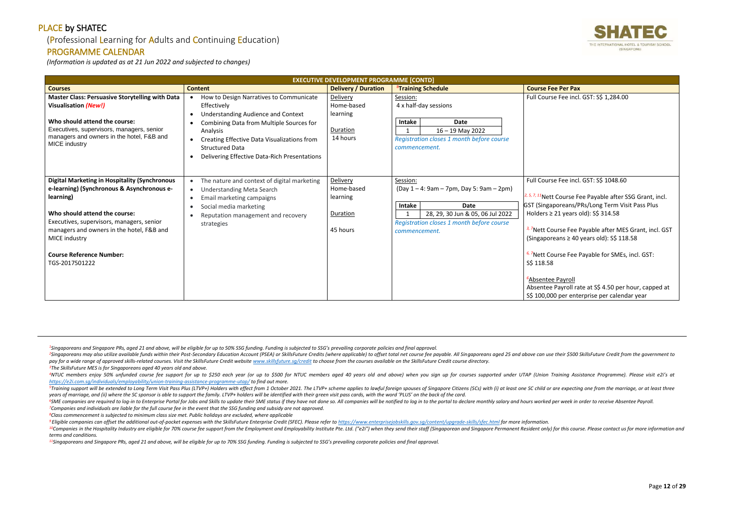## (Professional Learning for Adults and Continuing Education)

### PROGRAMME CALENDAR

*(Information is updated as at 21 Jun 2022 and subjected to changes)*

<sup>2</sup>Singaporeans may also utilize available funds within their Post-Secondary Education Account (PSEA) or SkillsFuture Credits (where applicable) to offset total net course fee payable. All Singaporeans aged 25 and above ca pay for a wide range of approved skills-related courses. Visit the SkillsFuture Credit website www.skillsfuture.sa/credit to choose from the courses available on the SkillsFuture Credit course directory. *<sup>3</sup>The SkillsFuture MES is for Singaporeans aged 40 years old and above.*

<sup>4</sup>NTUC members enjoy 50% unfunded course fee support for up to \$250 each year (or up to \$500 for NTUC members aged 40 years old and above) when you sign up for courses supported under UTAP (Union Training Assistance Progr *<https://e2i.com.sg/individuals/employability/union-training-assistance-programme-utap/> to find out more.* 

<sup>5</sup>Training support will be extended to Long Term Visit Pass Plus (LTVP+) Holders with effect from 1 October 2021. The LTVP+ scheme applies to lawful foreign spouses of Singapore Citizens (SCs) with (i) at least one SC chi *years of marriage, and (ii) where the SC sponsor is able to support the family. LTVP+ holders will be identified with their green visit pass cards, with the word 'PLUS' on the back of the card.*

<sup>6</sup>SME companies are required to log-in to Enterprise Portal for Jobs and Skills to update their SME status if they have not done so. All companies will be notified to log in to the portal to declare monthly salary and hou *<sup>7</sup>Companies and individuals are liable for the full course fee in the event that the SSG funding and subsidy are not approved.*

<sup>9</sup> Eligible companies can offset the additional out-of-pocket expenses with the SkillsFuture Enterprise Credit (SFEC). Please refer to https://www.enterpriseiobskills.gov.sa/content/uparade-skills/sfec.html for more infor <sup>10</sup>Companies in the Hospitality Industry are eligible for 70% course fee support from the Employment and Employability Institute Pte. Ltd. ("e2i") when they send their staff (Singaporean and Singapore Permanent Resident o *terms and conditions.*

*<sup>8</sup>Class commencement is subjected to minimum class size met. Public holidays are excluded, where applicable*

*2, 5, 7, 11*Nett Course Fee Payable after SSG Grant, incl. aporeans/PRs/Long Term Visit Pass Plus 21 years old): S\$ 314.58

*<u>B</u> Zuererage Fee Payable after MES Grant, incl. GST*  $r$ eans ≥ 40 years old): S\$ 118.58

ourse Fee Payable for SMEs, incl. GST:

*e* Payroll Payroll rate at S\$ 4.50 per hour, capped at 00 per enterprise per calendar year

*<sup>11</sup>Singaporeans and Singapore PRs, aged 21 and above, will be eligible for up to 70% SSG funding. Funding is subjected to SSG's prevailing corporate policies and final approval.*



se Fee incl. GST: S\$ 1,284.00

#### se Fee incl. GST: S\$ 1048.60

|                                                                                                                                                                                                                                   | <b>EXECUTIVE DEVELOPMENT PROGRAMME [CONTD]</b>                                                                                                                                                                                                          |                                                            |                                    |                                                                                                         |                                                                              |
|-----------------------------------------------------------------------------------------------------------------------------------------------------------------------------------------------------------------------------------|---------------------------------------------------------------------------------------------------------------------------------------------------------------------------------------------------------------------------------------------------------|------------------------------------------------------------|------------------------------------|---------------------------------------------------------------------------------------------------------|------------------------------------------------------------------------------|
| <b>Courses</b>                                                                                                                                                                                                                    | <b>Content</b>                                                                                                                                                                                                                                          | <b>Delivery / Duration</b>                                 |                                    | <b><sup>8</sup>Training Schedule</b>                                                                    | <b>Course Fee Per Pax</b>                                                    |
| <b>Master Class: Persuasive Storytelling with Data</b><br><b>Visualisation (New!)</b><br>Who should attend the course:<br>Executives, supervisors, managers, senior<br>managers and owners in the hotel, F&B and<br>MICE industry | How to Design Narratives to Communicate<br>$\bullet$<br>Effectively<br>Understanding Audience and Context<br>$\bullet$<br>Combining Data from Multiple Sources for<br>$\bullet$<br>Analysis<br>Creating Effective Data Visualizations from<br>$\bullet$ | Delivery<br>Home-based<br>learning<br>Duration<br>14 hours | Session:<br>Intake<br>$\mathbf{1}$ | 4 x half-day sessions<br><b>Date</b><br>$16 - 19$ May 2022<br>Registration closes 1 month before course | <b>Full Course Fee incl</b>                                                  |
| <b>Digital Marketing in Hospitality (Synchronous</b><br>e-learning) (Synchronous & Asynchronous e-                                                                                                                                | <b>Structured Data</b><br>Delivering Effective Data-Rich Presentations<br>$\bullet$<br>The nature and context of digital marketing<br>$\bullet$<br><b>Understanding Meta Search</b><br>$\bullet$                                                        | Delivery<br>Home-based                                     | commencement.<br>Session:          | $(Day 1 - 4: 9am - 7pm, Day 5: 9am - 2pm)$                                                              | <b>Full Course Fee incl</b>                                                  |
| learning)                                                                                                                                                                                                                         | Email marketing campaigns<br>$\bullet$<br>Social media marketing<br>$\bullet$                                                                                                                                                                           | learning                                                   | Intake                             | <b>Date</b>                                                                                             | $2, 5, 7, 11$ Nett Course F<br><b>GST (Singaporeans/F</b>                    |
| Who should attend the course:                                                                                                                                                                                                     | Reputation management and recovery<br>$\bullet$                                                                                                                                                                                                         | Duration                                                   |                                    | 28, 29, 30 Jun & 05, 06 Jul 2022                                                                        | Holders $\geq$ 21 years                                                      |
| Executives, supervisors, managers, senior<br>managers and owners in the hotel, F&B and<br>MICE industry                                                                                                                           | strategies                                                                                                                                                                                                                                              | 45 hours                                                   | commencement.                      | Registration closes 1 month before course                                                               | <sup>3, 7</sup> Nett Course Fee I<br>(Singaporeans $\geq 40$                 |
| <b>Course Reference Number:</b><br>TGS-2017501222                                                                                                                                                                                 |                                                                                                                                                                                                                                                         |                                                            |                                    |                                                                                                         | <sup>6, 7</sup> Nett Course Fee I<br>S\$ 118.58                              |
|                                                                                                                                                                                                                                   |                                                                                                                                                                                                                                                         |                                                            |                                    |                                                                                                         | <sup>6</sup> Absentee Payroll<br>Absentee Payroll ra<br>S\$ 100,000 per ente |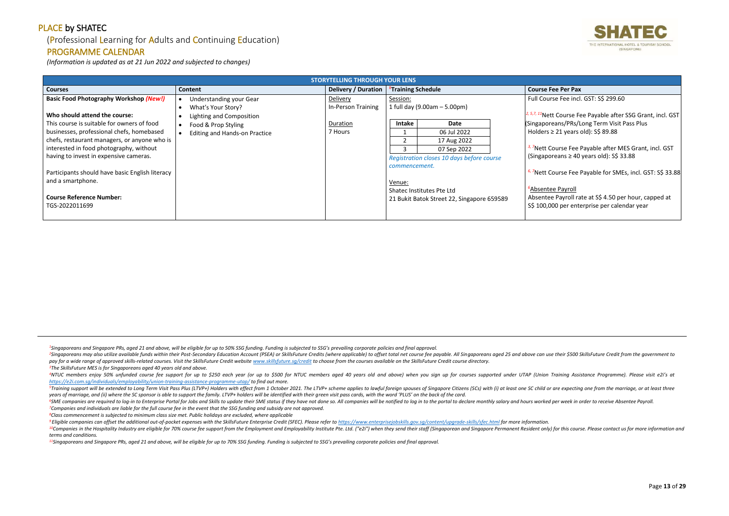## (Professional Learning for Adults and Continuing Education)

### PROGRAMME CALENDAR

*(Information is updated as at 21 Jun 2022 and subjected to changes)*

<sup>2</sup>Singaporeans may also utilize available funds within their Post-Secondary Education Account (PSEA) or SkillsFuture Credits (where applicable) to offset total net course fee payable. All Singaporeans aged 25 and above ca pay for a wide range of approved skills-related courses. Visit the SkillsFuture Credit website www.skillsfuture.sa/credit to choose from the courses available on the SkillsFuture Credit course directory. *<sup>3</sup>The SkillsFuture MES is for Singaporeans aged 40 years old and above.*

<sup>4</sup>NTUC members enjoy 50% unfunded course fee support for up to \$250 each year (or up to \$500 for NTUC members aged 40 years old and above) when you sign up for courses supported under UTAP (Union Training Assistance Progr *<https://e2i.com.sg/individuals/employability/union-training-assistance-programme-utap/> to find out more.* 

<sup>5</sup>Training support will be extended to Long Term Visit Pass Plus (LTVP+) Holders with effect from 1 October 2021. The LTVP+ scheme applies to lawful foreign spouses of Singapore Citizens (SCs) with (i) at least one SC chi *years of marriage, and (ii) where the SC sponsor is able to support the family. LTVP+ holders will be identified with their green visit pass cards, with the word 'PLUS' on the back of the card.*

<sup>6</sup>SME companies are required to log-in to Enterprise Portal for Jobs and Skills to update their SME status if they have not done so. All companies will be notified to log in to the portal to declare monthly salary and hou *<sup>7</sup>Companies and individuals are liable for the full course fee in the event that the SSG funding and subsidy are not approved.*

<sup>9</sup> Eligible companies can offset the additional out-of-pocket expenses with the SkillsFuture Enterprise Credit (SFEC). Please refer to https://www.enterpriseiobskills.gov.sa/content/uparade-skills/sfec.html for more infor <sup>10</sup>Companies in the Hospitality Industry are eligible for 70% course fee support from the Employment and Employability Institute Pte. Ltd. ("e2i") when they send their staff (Singaporean and Singapore Permanent Resident o *terms and conditions.*

*3 Jurse Fee Payable after MES Grant, incl. GST* (Singaporeans ≥ 40 years old): S\$ 33.88

*6* Payable for SMEs, incl. GST: S\$ 33.88

**e** Payroll Payroll rate at S\$ 4.50 per hour, capped at 00 per enterprise per calendar year

*<sup>8</sup>Class commencement is subjected to minimum class size met. Public holidays are excluded, where applicable*

*<sup>11</sup>Singaporeans and Singapore PRs, aged 21 and above, will be eligible for up to 70% SSG funding. Funding is subjected to SSG's prevailing corporate policies and final approval.*



e Fee incl. GST: S\$ 299.60

**2,** *5,7, 2001 Course Fee Payable after SSG Grant, incl. GST* ans/PRs/Long Term Visit Pass Plus 21 years old): S\$ 89.88

|                                                 | <b>STORYTELLING THROUGH YOUR LENS</b> |                     |                                |                                            |  |                                 |
|-------------------------------------------------|---------------------------------------|---------------------|--------------------------------|--------------------------------------------|--|---------------------------------|
| <b>Courses</b>                                  | <b>Content</b>                        | Delivery / Duration | <sup>8</sup> Training Schedule |                                            |  | <b>Course Fee Per Pax</b>       |
| <b>Basic Food Photography Workshop (New!)</b>   | Understanding your Gear               | Delivery            | Session:                       |                                            |  | Full Course Fee incl            |
|                                                 | What's Your Story?                    | In-Person Training  |                                | 1 full day (9.00am - 5.00pm)               |  |                                 |
| Who should attend the course:                   | Lighting and Composition              |                     |                                |                                            |  | $2, 5, 7, 11$ Nett Course Fr    |
| This course is suitable for owners of food      | Food & Prop Styling                   | Duration            | Intake                         | Date                                       |  | (Singaporeans/PRs/L             |
| businesses, professional chefs, homebased       | <b>Editing and Hands-on Practice</b>  | 7 Hours             |                                | 06 Jul 2022                                |  | Holders $\geq$ 21 years         |
| chefs, restaurant managers, or anyone who is    |                                       |                     |                                | 17 Aug 2022                                |  |                                 |
| interested in food photography, without         |                                       |                     |                                | 07 Sep 2022                                |  | <sup>3, 7</sup> Nett Course Fee |
| having to invest in expensive cameras.          |                                       |                     |                                | Registration closes 10 days before course  |  | (Singaporeans $\geq 40$         |
|                                                 |                                       |                     | commencement.                  |                                            |  |                                 |
| Participants should have basic English literacy |                                       |                     |                                |                                            |  | <sup>6, 7</sup> Nett Course Fee |
| and a smartphone.                               |                                       |                     | Venue:                         |                                            |  |                                 |
|                                                 |                                       |                     |                                | Shatec Institutes Pte Ltd                  |  | <sup>6</sup> Absentee Payroll   |
| <b>Course Reference Number:</b>                 |                                       |                     |                                | 21 Bukit Batok Street 22, Singapore 659589 |  | Absentee Payroll ra             |
| TGS-2022011699                                  |                                       |                     |                                |                                            |  | S\$ 100,000 per ent             |
|                                                 |                                       |                     |                                |                                            |  |                                 |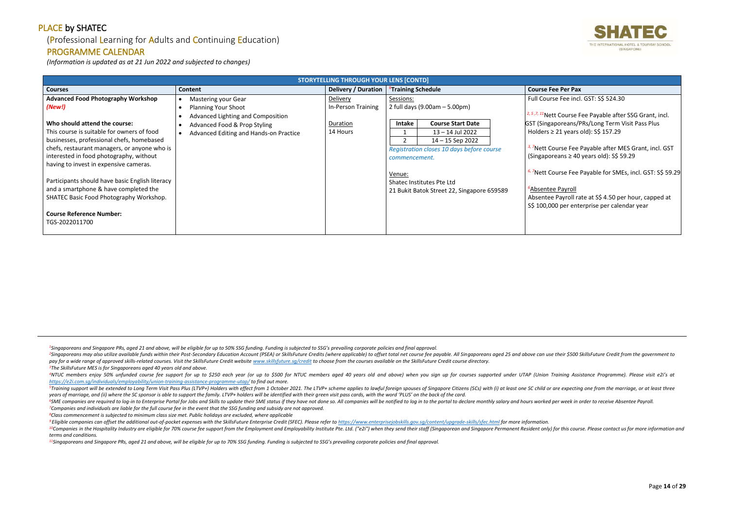## (Professional Learning for Adults and Continuing Education)

#### PROGRAMME CALENDAR

*(Information is updated as at 21 Jun 2022 and subjected to changes)*

<sup>2</sup>Singaporeans may also utilize available funds within their Post-Secondary Education Account (PSEA) or SkillsFuture Credits (where applicable) to offset total net course fee payable. All Singaporeans aged 25 and above ca pay for a wide range of approved skills-related courses. Visit the SkillsFuture Credit website www.skillsfuture.sa/credit to choose from the courses available on the SkillsFuture Credit course directory. *<sup>3</sup>The SkillsFuture MES is for Singaporeans aged 40 years old and above.*

*3 Jurse Fee Payable after MES Grant, incl. GST* (Singaporeans ≥ 40 years old): S\$ 59.29

**Durse Fee Payable for SMEs, incl. GST: S\$ 59.29** 

Payroll rate at S\$ 4.50 per hour, capped at 00 per enterprise per calendar year

*<sup>8</sup>Class commencement is subjected to minimum class size met. Public holidays are excluded, where applicable*

*<sup>11</sup>Singaporeans and Singapore PRs, aged 21 and above, will be eligible for up to 70% SSG funding. Funding is subjected to SSG's prevailing corporate policies and final approval.*



fee incl. GST: S\$ 524.30

*E* 2, *Lee Payable after SSG Grant, incl.* poreans/PRs/Long Term Visit Pass Plus 21 years old): S\$ 157.29

|                                                 | <b>STORYTELLING THROUGH YOUR LENS [CONTD]</b> |                     |                                            |                                 |  |
|-------------------------------------------------|-----------------------------------------------|---------------------|--------------------------------------------|---------------------------------|--|
| <b>Courses</b>                                  | Content                                       | Delivery / Duration | <sup>8</sup> Training Schedule             | <b>Course Fee Per Pax</b>       |  |
| <b>Advanced Food Photography Workshop</b>       | <b>Mastering your Gear</b>                    | <b>Delivery</b>     | Sessions:                                  | <b>Full Course Fee incl</b>     |  |
| (New!)                                          | <b>Planning Your Shoot</b><br>$\bullet$       | In-Person Training  | 2 full days $(9.00am - 5.00pm)$            |                                 |  |
|                                                 | Advanced Lighting and Composition             |                     |                                            | $2, 5, 7, 11$ Nett Course F     |  |
| Who should attend the course:                   | <b>Advanced Food &amp; Prop Styling</b>       | Duration            | <b>Course Start Date</b><br><b>Intake</b>  | <b>GST (Singaporeans/F</b>      |  |
| This course is suitable for owners of food      | Advanced Editing and Hands-on Practice        | 14 Hours            | $13 - 14$ Jul 2022                         | Holders $\geq$ 21 years         |  |
| businesses, professional chefs, homebased       |                                               |                     | $14 - 15$ Sep 2022                         |                                 |  |
| chefs, restaurant managers, or anyone who is    |                                               |                     | Registration closes 10 days before course  | <sup>3, 7</sup> Nett Course Fee |  |
| interested in food photography, without         |                                               |                     | commencement.                              | (Singaporeans $\geq 40$         |  |
| having to invest in expensive cameras.          |                                               |                     |                                            |                                 |  |
|                                                 |                                               |                     | Venue:                                     | <sup>6, 7</sup> Nett Course Fee |  |
| Participants should have basic English literacy |                                               |                     | Shatec Institutes Pte Ltd                  |                                 |  |
| and a smartphone & have completed the           |                                               |                     | 21 Bukit Batok Street 22, Singapore 659589 | <sup>6</sup> Absentee Payroll   |  |
| SHATEC Basic Food Photography Workshop.         |                                               |                     |                                            | Absentee Payroll ra             |  |
|                                                 |                                               |                     |                                            | S\$ 100,000 per ent             |  |
| <b>Course Reference Number:</b>                 |                                               |                     |                                            |                                 |  |
| TGS-2022011700                                  |                                               |                     |                                            |                                 |  |
|                                                 |                                               |                     |                                            |                                 |  |

<sup>&</sup>lt;sup>4</sup>NTUC members enjoy 50% unfunded course fee support for up to \$250 each year (or up to \$500 for NTUC members aged 40 years old and above) when you sign up for courses supported under UTAP (Union Training Assistance Progr *<https://e2i.com.sg/individuals/employability/union-training-assistance-programme-utap/> to find out more.* 

<sup>&</sup>lt;sup>5</sup>Training support will be extended to Long Term Visit Pass Plus (LTVP+) Holders with effect from 1 October 2021. The LTVP+ scheme applies to lawful foreign spouses of Singapore Citizens (SCs) with (i) at least one SC chi *years of marriage, and (ii) where the SC sponsor is able to support the family. LTVP+ holders will be identified with their green visit pass cards, with the word 'PLUS' on the back of the card.*

<sup>&</sup>lt;sup>6</sup>SME companies are required to log-in to Enterprise Portal for Jobs and Skills to update their SME status if they have not done so. All companies will be notified to log in to the portal to declare monthly salary and hou *<sup>7</sup>Companies and individuals are liable for the full course fee in the event that the SSG funding and subsidy are not approved.*

<sup>&</sup>lt;sup>9</sup> Eligible companies can offset the additional out-of-pocket expenses with the SkillsFuture Enterprise Credit (SFEC). Please refer to https://www.enterpriseiobskills.gov.sa/content/uparade-skills/sfec.html for more infor <sup>10</sup>Companies in the Hospitality Industry are eligible for 70% course fee support from the Employment and Employability Institute Pte. Ltd. ("e2i") when they send their staff (Singaporean and Singapore Permanent Resident o *terms and conditions.*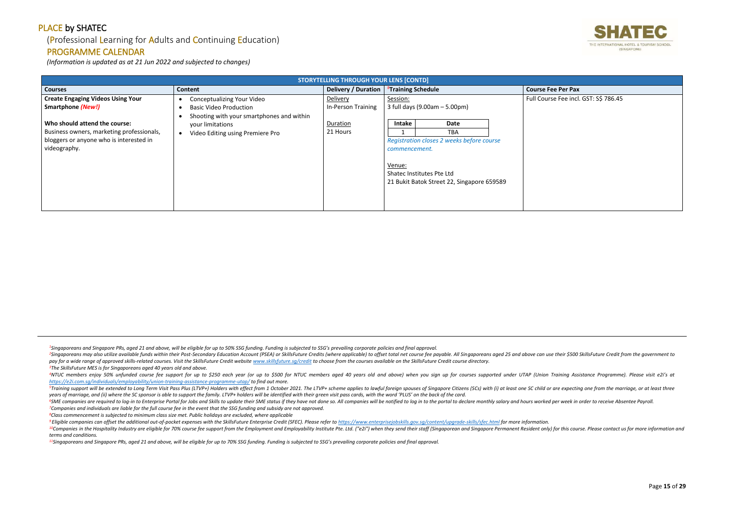## (Professional Learning for Adults and Continuing Education)

#### PROGRAMME CALENDAR

*(Information is updated as at 21 Jun 2022 and subjected to changes)*

<sup>2</sup>Singaporeans may also utilize available funds within their Post-Secondary Education Account (PSEA) or SkillsFuture Credits (where applicable) to offset total net course fee payable. All Singaporeans aged 25 and above ca pay for a wide range of approved skills-related courses. Visit the SkillsFuture Credit website www.skillsfuture.sa/credit to choose from the courses available on the SkillsFuture Credit course directory. *<sup>3</sup>The SkillsFuture MES is for Singaporeans aged 40 years old and above.*

<sup>4</sup>NTUC members enjoy 50% unfunded course fee support for up to \$250 each year (or up to \$500 for NTUC members aged 40 years old and above) when you sign up for courses supported under UTAP (Union Training Assistance Progr *<https://e2i.com.sg/individuals/employability/union-training-assistance-programme-utap/> to find out more.* 

<sup>5</sup>Training support will be extended to Long Term Visit Pass Plus (LTVP+) Holders with effect from 1 October 2021. The LTVP+ scheme applies to lawful foreign spouses of Singapore Citizens (SCs) with (i) at least one SC chi *years of marriage, and (ii) where the SC sponsor is able to support the family. LTVP+ holders will be identified with their green visit pass cards, with the word 'PLUS' on the back of the card.*

<sup>6</sup>SME companies are required to log-in to Enterprise Portal for Jobs and Skills to update their SME status if they have not done so. All companies will be notified to log in to the portal to declare monthly salary and hou *<sup>7</sup>Companies and individuals are liable for the full course fee in the event that the SSG funding and subsidy are not approved.*

<sup>9</sup> Eligible companies can offset the additional out-of-pocket expenses with the SkillsFuture Enterprise Credit (SFEC). Please refer to https://www.enterpriseiobskills.gov.sa/content/uparade-skills/sfec.html for more infor <sup>10</sup>Companies in the Hospitality Industry are eligible for 70% course fee support from the Employment and Employability Institute Pte. Ltd. ("e2i") when they send their staff (Singaporean and Singapore Permanent Resident o *terms and conditions.*

*<sup>8</sup>Class commencement is subjected to minimum class size met. Public holidays are excluded, where applicable*

*<sup>11</sup>Singaporeans and Singapore PRs, aged 21 and above, will be eligible for up to 70% SSG funding. Funding is subjected to SSG's prevailing corporate policies and final approval.*



se Fee incl. GST: S\$ 786.45

|                                           | <b>STORYTELLING THROUGH YOUR LENS [CONTD]</b> |                     |                                |                                            |  |                           |
|-------------------------------------------|-----------------------------------------------|---------------------|--------------------------------|--------------------------------------------|--|---------------------------|
| <b>Courses</b>                            | Content                                       | Delivery / Duration | <sup>8</sup> Training Schedule |                                            |  | <b>Course Fee Per Pax</b> |
| <b>Create Engaging Videos Using Your</b>  | <b>Conceptualizing Your Video</b>             | Delivery            | Session:                       |                                            |  | Full Course Fee incl      |
| <b>Smartphone (New!)</b>                  | <b>Basic Video Production</b><br>$\bullet$    | In-Person Training  |                                | 3 full days (9.00am - 5.00pm)              |  |                           |
|                                           | Shooting with your smartphones and within     |                     |                                |                                            |  |                           |
| Who should attend the course:             | your limitations                              | Duration            | Intake                         | Date                                       |  |                           |
| Business owners, marketing professionals, | Video Editing using Premiere Pro              | 21 Hours            |                                | TBA                                        |  |                           |
| bloggers or anyone who is interested in   |                                               |                     |                                | Registration closes 2 weeks before course  |  |                           |
| videography.                              |                                               |                     | commencement.                  |                                            |  |                           |
|                                           |                                               |                     |                                |                                            |  |                           |
|                                           |                                               |                     | Venue:                         |                                            |  |                           |
|                                           |                                               |                     |                                | Shatec Institutes Pte Ltd                  |  |                           |
|                                           |                                               |                     |                                | 21 Bukit Batok Street 22, Singapore 659589 |  |                           |
|                                           |                                               |                     |                                |                                            |  |                           |
|                                           |                                               |                     |                                |                                            |  |                           |
|                                           |                                               |                     |                                |                                            |  |                           |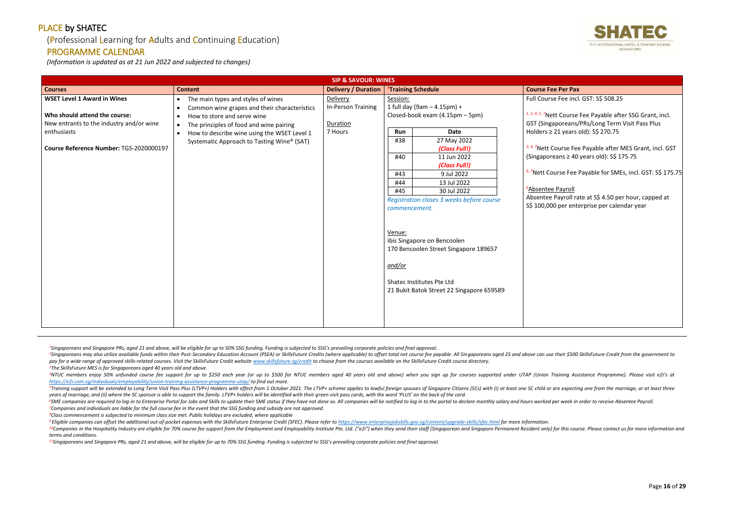## (Professional Learning for Adults and Continuing Education)

#### PROGRAMME CALENDAR

*(Information is updated as at 21 Jun 2022 and subjected to changes)*

<sup>2</sup>Singaporeans may also utilize available funds within their Post-Secondary Education Account (PSEA) or SkillsFuture Credits (where applicable) to offset total net course fee payable. All Singaporeans aged 25 and above ca pay for a wide range of approved skills-related courses. Visit the SkillsFuture Credit website www.skillsfuture.sa/credit to choose from the courses available on the SkillsFuture Credit course directory. *<sup>3</sup>The SkillsFuture MES is for Singaporeans aged 40 years old and above.*

<sup>4</sup>NTUC members enjoy 50% unfunded course fee support for up to \$250 each year (or up to \$500 for NTUC members aged 40 years old and above) when you sign up for courses supported under UTAP (Union Training Assistance Progr *<https://e2i.com.sg/individuals/employability/union-training-assistance-programme-utap/> to find out more.* 

<sup>5</sup>Training support will be extended to Long Term Visit Pass Plus (LTVP+) Holders with effect from 1 October 2021. The LTVP+ scheme applies to lawful foreign spouses of Singapore Citizens (SCs) with (i) at least one SC chi *years of marriage, and (ii) where the SC sponsor is able to support the family. LTVP+ holders will be identified with their green visit pass cards, with the word 'PLUS' on the back of the card.*

<sup>6</sup>SME companies are required to log-in to Enterprise Portal for Jobs and Skills to update their SME status if they have not done so. All companies will be notified to log in to the portal to declare monthly salary and hou *<sup>7</sup>Companies and individuals are liable for the full course fee in the event that the SSG funding and subsidy are not approved.*

<sup>9</sup> Eligible companies can offset the additional out-of-pocket expenses with the SkillsFuture Enterprise Credit (SFEC). Please refer to https://www.enterpriseiobskills.gov.sa/content/uparade-skills/sfec.html for more infor <sup>10</sup>Companies in the Hospitality Industry are eligible for 70% course fee support from the Employment and Employability Institute Pte. Ltd. ("e2i") when they send their staff (Singaporean and Singapore Permanent Resident o *terms and conditions.*

*<sup>8</sup>Class commencement is subjected to minimum class size met. Public holidays are excluded, where applicable*

*<sup>11</sup>Singaporeans and Singapore PRs, aged 21 and above, will be eligible for up to 70% SSG funding. Funding is subjected to SSG's prevailing corporate policies and final approval.*



# se Fee incl. GST: S\$ 508.25 *Ptt Course Fee Payable after SSG Grant, incl.* aporeans/PRs/Long Term Visit Pass Plus 21 years old): S\$ 270.75 Course Fee Payable after MES Grant, incl. GST (Singaporeans ≥ 40 years old): S\$ 175.75 *6, <sup>7</sup>*Nett Course Fee Payable for SMEs, incl. GST: S\$ 175.75 **e** Payroll Payroll rate at S\$ 4.50 per hour, capped at 00 per enterprise per calendar year

|                                                                                                                                                                           |                                                                                                                                                                                                                                                                                                               | <b>SIP &amp; SAVOUR: WINES</b>                        |                                                                                                                                                                                                                                                                                                                                                                                                                                                                                     |                                                                                                                                                                                                                                                                          |
|---------------------------------------------------------------------------------------------------------------------------------------------------------------------------|---------------------------------------------------------------------------------------------------------------------------------------------------------------------------------------------------------------------------------------------------------------------------------------------------------------|-------------------------------------------------------|-------------------------------------------------------------------------------------------------------------------------------------------------------------------------------------------------------------------------------------------------------------------------------------------------------------------------------------------------------------------------------------------------------------------------------------------------------------------------------------|--------------------------------------------------------------------------------------------------------------------------------------------------------------------------------------------------------------------------------------------------------------------------|
| <b>Courses</b>                                                                                                                                                            | <b>Content</b>                                                                                                                                                                                                                                                                                                | <b>Delivery / Duration</b>                            | <sup>8</sup> Training Schedule                                                                                                                                                                                                                                                                                                                                                                                                                                                      | <b>Course Fee Per Pax</b>                                                                                                                                                                                                                                                |
| <b>WSET Level 1 Award in Wines</b><br>Who should attend the course:<br>New entrants to the industry and/or wine<br>enthusiasts<br>Course Reference Number: TGS-2020000197 | The main types and styles of wines<br>$\bullet$<br>Common wine grapes and their characteristics<br>$\bullet$<br>How to store and serve wine<br>$\bullet$<br>The principles of food and wine pairing<br>$\bullet$<br>How to describe wine using the WSET Level 1<br>Systematic Approach to Tasting Wine® (SAT) | Delivery<br>In-Person Training<br>Duration<br>7 Hours | Session:<br>1 full day (9am - 4.15pm) +<br>Closed-book exam (4.15pm - 5pm)<br><b>Date</b><br>Run<br>#38<br>27 May 2022<br>(Class Full!)<br>#40<br>11 Jun 2022<br>(Class Full!)<br>#43<br>9 Jul 2022<br>13 Jul 2022<br>#44<br>#45<br>30 Jul 2022<br>Registration closes 3 weeks before course<br>commencement.<br>Venue:<br>ibis Singapore on Bencoolen<br>170 Bencoolen Street Singapore 189657<br>and/or<br>Shatec Institutes Pte Ltd<br>21 Bukit Batok Street 22 Singapore 659589 | Full Course Fee incl<br>1, 2, 4, 5, 7Nett Course<br>GST (Singaporeans/<br>Holders $\geq 21$ years<br>3, 4, 7Nett Course Fee<br>(Singaporeans $\geq 40$<br><sup>6, 7</sup> Nett Course Fee<br><sup>6</sup> Absentee Payroll<br>Absentee Payroll ra<br>S\$ 100,000 per ent |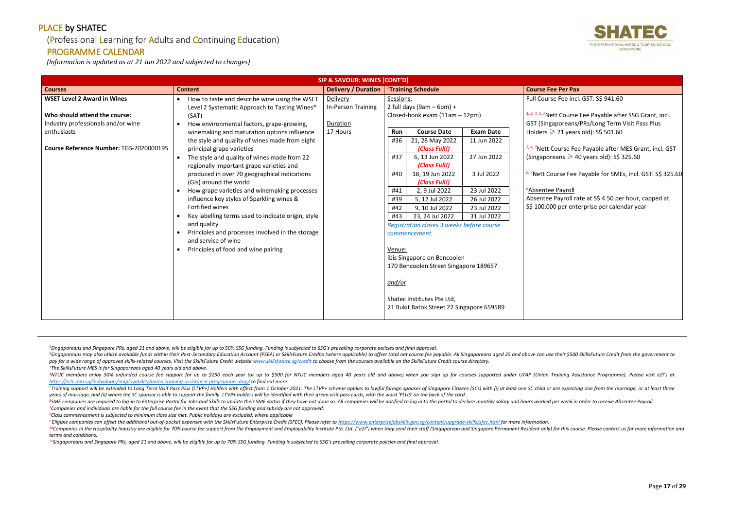## (Professional Learning for Adults and Continuing Education)

### PROGRAMME CALENDAR

*(Information is updated as at 21 Jun 2022 and subjected to changes)*

<sup>2</sup>Singaporeans may also utilize available funds within their Post-Secondary Education Account (PSEA) or SkillsFuture Credits (where applicable) to offset total net course fee payable. All Singaporeans aged 25 and above ca pay for a wide range of approved skills-related courses. Visit the SkillsFuture Credit website www.skillsfuture.sa/credit to choose from the courses available on the SkillsFuture Credit course directory. *<sup>3</sup>The SkillsFuture MES is for Singaporeans aged 40 years old and above.*

<sup>4</sup>NTUC members enjoy 50% unfunded course fee support for up to \$250 each year (or up to \$500 for NTUC members aged 40 years old and above) when you sign up for courses supported under UTAP (Union Training Assistance Progr *<https://e2i.com.sg/individuals/employability/union-training-assistance-programme-utap/> to find out more.*  <sup>5</sup>Training support will be extended to Long Term Visit Pass Plus (LTVP+) Holders with effect from 1 October 2021. The LTVP+ scheme applies to lawful foreign spouses of Singapore Citizens (SCs) with (i) at least one SC chi

<sup>6</sup>SME companies are required to log-in to Enterprise Portal for Jobs and Skills to update their SME status if they have not done so. All companies will be notified to log in to the portal to declare monthly salary and hou *<sup>7</sup>Companies and individuals are liable for the full course fee in the event that the SSG funding and subsidy are not approved.*

<sup>9</sup> Eligible companies can offset the additional out-of-pocket expenses with the SkillsFuture Enterprise Credit (SFEC). Please refer to https://www.enterpriseiobskills.gov.sa/content/uparade-skills/sfec.html for more infor <sup>10</sup>Companies in the Hospitality Industry are eligible for 70% course fee support from the Employment and Employability Institute Pte. Ltd. ("e2i") when they send their staff (Singaporean and Singapore Permanent Resident o *terms and conditions.*

*years of marriage, and (ii) where the SC sponsor is able to support the family. LTVP+ holders will be identified with their green visit pass cards, with the word 'PLUS' on the back of the card.*

*<sup>8</sup>Class commencement is subjected to minimum class size met. Public holidays are excluded, where applicable*

*<sup>11</sup>Singaporeans and Singapore PRs, aged 21 and above, will be eligible for up to 70% SSG funding. Funding is subjected to SSG's prevailing corporate policies and final approval.*



# se Fee incl. GST: S\$ 941.60 *Ptt Course Fee Payable after SSG Grant, incl.* aporeans/PRs/Long Term Visit Pass Plus  $\geqslant$  21 years old): SS 501.60 Course Fee Payable after MES Grant, incl. GST  $r$ eans  $\geqslant$  40 years old): S\$ 325.60 *6, <sup>7</sup>*Nett Course Fee Payable for SMEs, incl. GST: S\$ 325.60 **e** Payroll Payroll rate at S\$ 4.50 per hour, capped at 00 per enterprise per calendar year

|                                                                                                                                                                     |                                                                                                                                                                                                                                                                                                                                                                                                                                                                                                                                                                                                                                                                                                                                                                            | <b>SIP &amp; SAVOUR: WINES [CONT'D]</b>                |                                                                                                                                                                                                                                                                                                                                                                                                                                                                                                                                                                                                                                                                                                            |                                                                                                                                                                                                                                                                              |
|---------------------------------------------------------------------------------------------------------------------------------------------------------------------|----------------------------------------------------------------------------------------------------------------------------------------------------------------------------------------------------------------------------------------------------------------------------------------------------------------------------------------------------------------------------------------------------------------------------------------------------------------------------------------------------------------------------------------------------------------------------------------------------------------------------------------------------------------------------------------------------------------------------------------------------------------------------|--------------------------------------------------------|------------------------------------------------------------------------------------------------------------------------------------------------------------------------------------------------------------------------------------------------------------------------------------------------------------------------------------------------------------------------------------------------------------------------------------------------------------------------------------------------------------------------------------------------------------------------------------------------------------------------------------------------------------------------------------------------------------|------------------------------------------------------------------------------------------------------------------------------------------------------------------------------------------------------------------------------------------------------------------------------|
| <b>Courses</b>                                                                                                                                                      | <b>Content</b>                                                                                                                                                                                                                                                                                                                                                                                                                                                                                                                                                                                                                                                                                                                                                             | <b>Delivery / Duration</b>                             | <sup>8</sup> Training Schedule                                                                                                                                                                                                                                                                                                                                                                                                                                                                                                                                                                                                                                                                             | <b>Course Fee Per Pax</b>                                                                                                                                                                                                                                                    |
| <b>WSET Level 2 Award in Wines</b><br>Who should attend the course:<br>Industry professionals and/or wine<br>enthusiasts<br>Course Reference Number: TGS-2020000195 | How to taste and describe wine using the WSET<br>Level 2 Systematic Approach to Tasting Wines <sup>®</sup><br>(SAT)<br>How environmental factors, grape-growing,<br>winemaking and maturation options influence<br>the style and quality of wines made from eight<br>principal grape varieties<br>The style and quality of wines made from 22<br>regionally important grape varieties and<br>produced in over 70 geographical indications<br>(GIs) around the world<br>How grape varieties and winemaking processes<br>influence key styles of Sparkling wines &<br>Fortified wines<br>Key labelling terms used to indicate origin, style<br>and quality<br>Principles and processes involved in the storage<br>and service of wine<br>Principles of food and wine pairing | Delivery<br>In-Person Training<br>Duration<br>17 Hours | Sessions:<br>2 full days (9am - 6pm) +<br>Closed-book exam (11am - 12pm)<br><b>Course Date</b><br><b>Exam Date</b><br>Run<br>21, 28 May 2022<br>#36<br>11 Jun 2022<br>(Class Full!)<br>#37<br>6, 13 Jun 2022<br>27 Jun 2022<br>(Class Full!)<br>18, 19 Jun 2022<br>3 Jul 2022<br>#40<br>(Class Full!)<br>23 Jul 2022<br>2, 9 Jul 2022<br>#41<br>5, 12 Jul 2022<br>26 Jul 2022<br>#39<br>#42<br>9, 10 Jul 2022<br>23 Jul 2022<br>#43<br>23, 24 Jul 2022<br>31 Jul 2022<br>Registration closes 3 weeks before course<br>commencement.<br>Venue:<br>ibis Singapore on Bencoolen<br>170 Bencoolen Street Singapore 189657<br>and/or<br>Shatec Institutes Pte Ltd,<br>21 Bukit Batok Street 22 Singapore 659589 | Full Course Fee incl<br>1, 2, 4, 5, 7Nett Course<br>GST (Singaporeans/<br>Holders $\geqslant$ 21 years<br>3, 4, 7Nett Course Fee<br>(Singaporeans $\geq 4$<br><sup>6, 7</sup> Nett Course Fee<br><sup>6</sup> Absentee Payroll<br>Absentee Payroll ra<br>S\$ 100,000 per ent |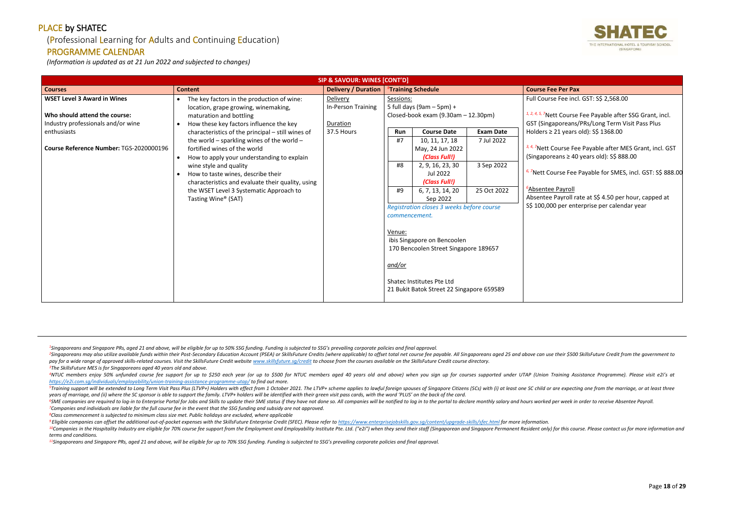## (Professional Learning for Adults and Continuing Education)

#### PROGRAMME CALENDAR

*(Information is updated as at 21 Jun 2022 and subjected to changes)*

<sup>2</sup>Singaporeans may also utilize available funds within their Post-Secondary Education Account (PSEA) or SkillsFuture Credits (where applicable) to offset total net course fee payable. All Singaporeans aged 25 and above ca pay for a wide range of approved skills-related courses. Visit the SkillsFuture Credit website www.skillsfuture.sa/credit to choose from the courses available on the SkillsFuture Credit course directory. *<sup>3</sup>The SkillsFuture MES is for Singaporeans aged 40 years old and above.*

<sup>4</sup>NTUC members enjoy 50% unfunded course fee support for up to \$250 each year (or up to \$500 for NTUC members aged 40 years old and above) when you sign up for courses supported under UTAP (Union Training Assistance Progr *<https://e2i.com.sg/individuals/employability/union-training-assistance-programme-utap/> to find out more.* 

<sup>5</sup>Training support will be extended to Long Term Visit Pass Plus (LTVP+) Holders with effect from 1 October 2021. The LTVP+ scheme applies to lawful foreign spouses of Singapore Citizens (SCs) with (i) at least one SC chi *years of marriage, and (ii) where the SC sponsor is able to support the family. LTVP+ holders will be identified with their green visit pass cards, with the word 'PLUS' on the back of the card.*

<sup>6</sup>SME companies are required to log-in to Enterprise Portal for Jobs and Skills to update their SME status if they have not done so. All companies will be notified to log in to the portal to declare monthly salary and hou *<sup>7</sup>Companies and individuals are liable for the full course fee in the event that the SSG funding and subsidy are not approved.*

<sup>9</sup> Eligible companies can offset the additional out-of-pocket expenses with the SkillsFuture Enterprise Credit (SFEC). Please refer to https://www.enterpriseiobskills.gov.sa/content/uparade-skills/sfec.html for more infor <sup>10</sup>Companies in the Hospitality Industry are eligible for 70% course fee support from the Employment and Employability Institute Pte. Ltd. ("e2i") when they send their staff (Singaporean and Singapore Permanent Resident o *terms and conditions.*

*<sup>8</sup>Class commencement is subjected to minimum class size met. Public holidays are excluded, where applicable*

*<sup>11</sup>Singaporeans and Singapore PRs, aged 21 and above, will be eligible for up to 70% SSG funding. Funding is subjected to SSG's prevailing corporate policies and final approval.*



# se Fee incl. GST: S\$ 2,568.00 *Ptt Course Fee Payable after SSG Grant, incl.* aporeans/PRs/Long Term Visit Pass Plus 21 years old): S\$ 1368.00 Course Fee Payable after MES Grant, incl. GST (Singaporeans ≥ 40 years old): S\$ 888.00 *6, <sup>7</sup>*Nett Course Fee Payable for SMES, incl. GST: S\$ 888.00 **e** Payroll Payroll rate at S\$ 4.50 per hour, capped at 00 per enterprise per calendar year

| Delivery / Duration<br><b>Content</b><br><sup>8</sup> Training Schedule<br><b>Courses</b><br><b>WSET Level 3 Award in Wines</b><br>Delivery<br>The key factors in the production of wine:<br>Sessions:<br>5 full days (9am $-$ 5pm) +<br><b>In-Person Training</b><br>location, grape growing, winemaking,<br>Who should attend the course:<br>Closed-book exam (9.30am - 12.30pm)<br>maturation and bottling<br>Industry professionals and/or wine<br>Duration<br>How these key factors influence the key<br>enthusiasts<br>37.5 Hours<br><b>Course Date</b><br>Run<br><b>Exam Date</b><br>characteristics of the principal - still wines of<br>the world - sparkling wines of the world -<br>#7<br>7 Jul 2022<br>10, 11, 17, 18<br>Course Reference Number: TGS-2020000196<br>fortified wines of the world<br>May, 24 Jun 2022<br>(Class Full!)<br>How to apply your understanding to explain<br>3 Sep 2022<br>#8<br>2, 9, 16, 23, 30<br>wine style and quality<br>Jul 2022<br>How to taste wines, describe their<br>(Class Full!)<br>characteristics and evaluate their quality, using<br>25 Oct 2022<br>#9<br>6, 7, 13, 14, 20<br>the WSET Level 3 Systematic Approach to<br>Sep 2022<br>Tasting Wine <sup>®</sup> (SAT) |  | SIP & SAVOUR: WINES [CONT'D] |                                           |                                                                                                                                                                                                                                                                                 |
|------------------------------------------------------------------------------------------------------------------------------------------------------------------------------------------------------------------------------------------------------------------------------------------------------------------------------------------------------------------------------------------------------------------------------------------------------------------------------------------------------------------------------------------------------------------------------------------------------------------------------------------------------------------------------------------------------------------------------------------------------------------------------------------------------------------------------------------------------------------------------------------------------------------------------------------------------------------------------------------------------------------------------------------------------------------------------------------------------------------------------------------------------------------------------------------------------------------------------|--|------------------------------|-------------------------------------------|---------------------------------------------------------------------------------------------------------------------------------------------------------------------------------------------------------------------------------------------------------------------------------|
|                                                                                                                                                                                                                                                                                                                                                                                                                                                                                                                                                                                                                                                                                                                                                                                                                                                                                                                                                                                                                                                                                                                                                                                                                              |  |                              |                                           | <b>Course Fee Per Pax</b>                                                                                                                                                                                                                                                       |
| commencement.<br>Venue:<br>ibis Singapore on Bencoolen<br>170 Bencoolen Street Singapore 189657<br>and/or                                                                                                                                                                                                                                                                                                                                                                                                                                                                                                                                                                                                                                                                                                                                                                                                                                                                                                                                                                                                                                                                                                                    |  |                              | Registration closes 3 weeks before course | <b>Full Course Fee incl</b><br>1, 2, 4, 5, 7Nett Course<br>GST (Singaporeans/<br>Holders $\geq$ 21 years<br>3, 4, 7Nett Course Fee<br>(Singaporeans $\geq 40$<br><sup>6, 7</sup> Nett Course Fee<br><sup>6</sup> Absentee Payroll<br>Absentee Payroll ra<br>S\$ 100,000 per ent |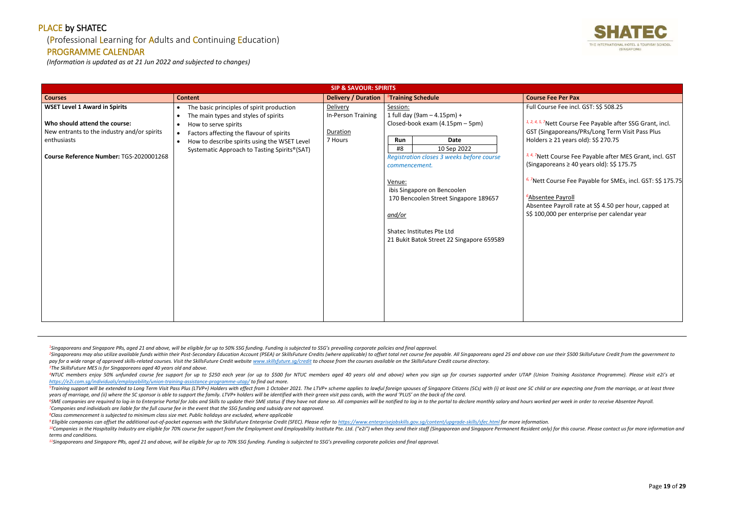#### (Professional Learning for Adults and Continuing Education)

## PROGRAMME CALENDAR

*(Information is updated as at 21 Jun 2022 and subjected to changes)*

<sup>2</sup>Singaporeans may also utilize available funds within their Post-Secondary Education Account (PSEA) or SkillsFuture Credits (where applicable) to offset total net course fee payable. All Singaporeans aged 25 and above ca pay for a wide range of approved skills-related courses. Visit the SkillsFuture Credit website www.skillsfuture.sa/credit to choose from the courses available on the SkillsFuture Credit course directory. *<sup>3</sup>The SkillsFuture MES is for Singaporeans aged 40 years old and above.*

<sup>4</sup>NTUC members enjoy 50% unfunded course fee support for up to \$250 each year (or up to \$500 for NTUC members aged 40 years old and above) when you sign up for courses supported under UTAP (Union Training Assistance Progr *<https://e2i.com.sg/individuals/employability/union-training-assistance-programme-utap/> to find out more.* 

<sup>5</sup>Training support will be extended to Long Term Visit Pass Plus (LTVP+) Holders with effect from 1 October 2021. The LTVP+ scheme applies to lawful foreign spouses of Singapore Citizens (SCs) with (i) at least one SC chi *years of marriage, and (ii) where the SC sponsor is able to support the family. LTVP+ holders will be identified with their green visit pass cards, with the word 'PLUS' on the back of the card.*

<sup>6</sup>SME companies are required to log-in to Enterprise Portal for Jobs and Skills to update their SME status if they have not done so. All companies will be notified to log in to the portal to declare monthly salary and hou *<sup>7</sup>Companies and individuals are liable for the full course fee in the event that the SSG funding and subsidy are not approved.*

<sup>9</sup> Eligible companies can offset the additional out-of-pocket expenses with the SkillsFuture Enterprise Credit (SFEC). Please refer to https://www.enterpriseiobskills.gov.sa/content/uparade-skills/sfec.html for more infor <sup>10</sup>Companies in the Hospitality Industry are eligible for 70% course fee support from the Employment and Employability Institute Pte. Ltd. ("e2i") when they send their staff (Singaporean and Singapore Permanent Resident o *terms and conditions.*

*<sup>8</sup>Class commencement is subjected to minimum class size met. Public holidays are excluded, where applicable*

*<sup>11</sup>Singaporeans and Singapore PRs, aged 21 and above, will be eligible for up to 70% SSG funding. Funding is subjected to SSG's prevailing corporate policies and final approval.*



- 
- 
- 

|                                                                                                                                                                                |                                                                                                                                                                                                                                                                                                                        | <b>SIP &amp; SAVOUR: SPIRITS</b>                      |                                                                                                                                                                                                                                                                                                                                                      |                                                                                                                                                                                                                                                                                                                                                                                                                                                                                                                                                                 |
|--------------------------------------------------------------------------------------------------------------------------------------------------------------------------------|------------------------------------------------------------------------------------------------------------------------------------------------------------------------------------------------------------------------------------------------------------------------------------------------------------------------|-------------------------------------------------------|------------------------------------------------------------------------------------------------------------------------------------------------------------------------------------------------------------------------------------------------------------------------------------------------------------------------------------------------------|-----------------------------------------------------------------------------------------------------------------------------------------------------------------------------------------------------------------------------------------------------------------------------------------------------------------------------------------------------------------------------------------------------------------------------------------------------------------------------------------------------------------------------------------------------------------|
| <b>Courses</b>                                                                                                                                                                 | <b>Content</b>                                                                                                                                                                                                                                                                                                         | <b>Delivery / Duration</b>                            | <sup>8</sup> Training Schedule                                                                                                                                                                                                                                                                                                                       | <b>Course Fee Per Pax</b>                                                                                                                                                                                                                                                                                                                                                                                                                                                                                                                                       |
| <b>WSET Level 1 Award in Spirits</b><br>Who should attend the course:<br>New entrants to the industry and/or spirits<br>enthusiasts<br>Course Reference Number: TGS-2020001268 | The basic principles of spirit production<br>$\bullet$<br>The main types and styles of spirits<br>$\bullet$<br>How to serve spirits<br>$\bullet$<br>Factors affecting the flavour of spirits<br>$\bullet$<br>How to describe spirits using the WSET Level<br>$\bullet$<br>Systematic Approach to Tasting Spirits®(SAT) | Delivery<br>In-Person Training<br>Duration<br>7 Hours | Session:<br>1 full day (9am $-$ 4.15pm) +<br>Closed-book exam (4.15pm - 5pm)<br>Date<br>Run<br>#8<br>10 Sep 2022<br>Registration closes 3 weeks before course<br>commencement.<br>Venue:<br>ibis Singapore on Bencoolen<br>170 Bencoolen Street Singapore 189657<br>and/or<br>Shatec Institutes Pte Ltd<br>21 Bukit Batok Street 22 Singapore 659589 | Full Course Fee incl. GST: S\$ 508.25<br><sup>1, 2, 4, 5, 7</sup> Nett Course Fee Payable after SSG Grant, incl.<br>GST (Singaporeans/PRs/Long Term Visit Pass Plus<br>Holders $\geq$ 21 years old): S\$ 270.75<br><sup>3, 4, 7</sup> Nett Course Fee Payable after MES Grant, incl. GST<br>(Singaporeans $\geq$ 40 years old): S\$ 175.75<br><sup>6, 7</sup> Nett Course Fee Payable for SMEs, incl. GST: S\$ 175.75<br><sup>6</sup> Absentee Payroll<br>Absentee Payroll rate at S\$ 4.50 per hour, capped at<br>S\$ 100,000 per enterprise per calendar year |
|                                                                                                                                                                                |                                                                                                                                                                                                                                                                                                                        |                                                       |                                                                                                                                                                                                                                                                                                                                                      |                                                                                                                                                                                                                                                                                                                                                                                                                                                                                                                                                                 |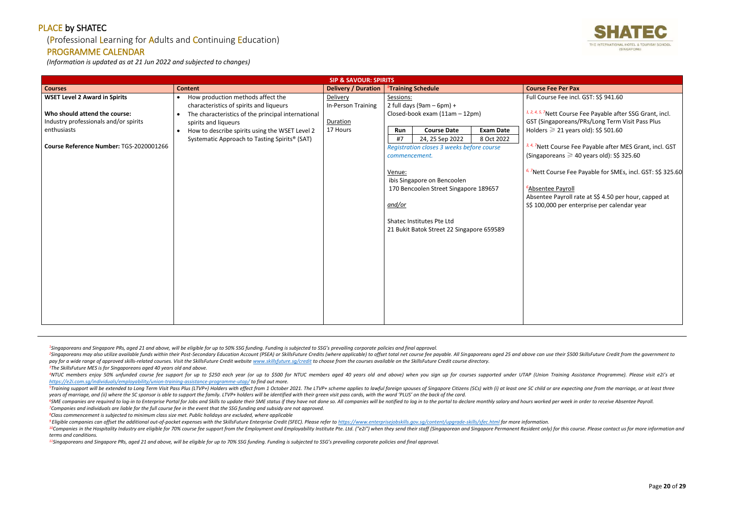## (Professional Learning for Adults and Continuing Education)

#### PROGRAMME CALENDAR

*(Information is updated as at 21 Jun 2022 and subjected to changes)*

<sup>2</sup>Singaporeans may also utilize available funds within their Post-Secondary Education Account (PSEA) or SkillsFuture Credits (where applicable) to offset total net course fee payable. All Singaporeans aged 25 and above ca pay for a wide range of approved skills-related courses. Visit the SkillsFuture Credit website www.skillsfuture.sa/credit to choose from the courses available on the SkillsFuture Credit course directory. *<sup>3</sup>The SkillsFuture MES is for Singaporeans aged 40 years old and above.*

<sup>4</sup>NTUC members enjoy 50% unfunded course fee support for up to \$250 each year (or up to \$500 for NTUC members aged 40 years old and above) when you sign up for courses supported under UTAP (Union Training Assistance Progr *<https://e2i.com.sg/individuals/employability/union-training-assistance-programme-utap/> to find out more.* 

<sup>5</sup>Training support will be extended to Long Term Visit Pass Plus (LTVP+) Holders with effect from 1 October 2021. The LTVP+ scheme applies to lawful foreign spouses of Singapore Citizens (SCs) with (i) at least one SC chi *years of marriage, and (ii) where the SC sponsor is able to support the family. LTVP+ holders will be identified with their green visit pass cards, with the word 'PLUS' on the back of the card.*

<sup>6</sup>SME companies are required to log-in to Enterprise Portal for Jobs and Skills to update their SME status if they have not done so. All companies will be notified to log in to the portal to declare monthly salary and hou *<sup>7</sup>Companies and individuals are liable for the full course fee in the event that the SSG funding and subsidy are not approved.*

<sup>9</sup> Eligible companies can offset the additional out-of-pocket expenses with the SkillsFuture Enterprise Credit (SFEC). Please refer to https://www.enterpriseiobskills.gov.sa/content/uparade-skills/sfec.html for more infor <sup>10</sup>Companies in the Hospitality Industry are eligible for 70% course fee support from the Employment and Employability Institute Pte. Ltd. ("e2i") when they send their staff (Singaporean and Singapore Permanent Resident o *terms and conditions.*

*<sup>8</sup>Class commencement is subjected to minimum class size met. Public holidays are excluded, where applicable*

*<sup>11</sup>Singaporeans and Singapore PRs, aged 21 and above, will be eligible for up to 70% SSG funding. Funding is subjected to SSG's prevailing corporate policies and final approval.*



| <b>Delivery / Duration</b><br><b>Content</b><br><sup>8</sup> Training Schedule<br><b>Course Fee Per Pax</b><br><b>Courses</b><br><b>WSET Level 2 Award in Spirits</b><br>Full Course Fee incl. GST: S\$ 941.60<br>Delivery<br>Sessions:<br>How production methods affect the<br>$\bullet$<br>2 full days (9am $-$ 6pm) +<br>In-Person Training<br>characteristics of spirits and liqueurs<br><sup>1, 2, 4, 5, 7</sup> Nett Course Fee Payable after SSG Grant, incl.<br>Who should attend the course:<br>Closed-book exam (11am - 12pm)<br>The characteristics of the principal international<br>$\bullet$<br>Industry professionals and/or spirits<br>GST (Singaporeans/PRs/Long Term Visit Pass Plus<br>Duration<br>spirits and liqueurs<br>Holders $\geqslant$ 21 years old): S\$ 501.60<br>enthusiasts<br>17 Hours<br><b>Course Date</b><br><b>Exam Date</b><br>How to describe spirits using the WSET Level 2<br>Run<br>$\bullet$<br>8 Oct 2022<br>#7<br>24, 25 Sep 2022<br>Systematic Approach to Tasting Spirits <sup>®</sup> (SAT)<br>Course Reference Number: TGS-2020001266<br><sup>3, 4, 7</sup> Nett Course Fee Payable after MES Grant, incl. GST<br>Registration closes 3 weeks before course<br>(Singaporeans $\geqslant$ 40 years old): S\$ 325.60<br>commencement.<br><sup>6, 7</sup> Nett Course Fee Payable for SMEs, incl. GST: S\$ 325.60<br>Venue:<br>ibis Singapore on Bencoolen<br>170 Bencoolen Street Singapore 189657<br><sup>6</sup> Absentee Payroll<br>Absentee Payroll rate at S\$ 4.50 per hour, capped at<br>S\$ 100,000 per enterprise per calendar year<br><u>and/or</u><br>Shatec Institutes Pte Ltd<br>21 Bukit Batok Street 22 Singapore 659589 |  | <b>SIP &amp; SAVOUR: SPIRITS</b> |  |  |  |  |  |
|---------------------------------------------------------------------------------------------------------------------------------------------------------------------------------------------------------------------------------------------------------------------------------------------------------------------------------------------------------------------------------------------------------------------------------------------------------------------------------------------------------------------------------------------------------------------------------------------------------------------------------------------------------------------------------------------------------------------------------------------------------------------------------------------------------------------------------------------------------------------------------------------------------------------------------------------------------------------------------------------------------------------------------------------------------------------------------------------------------------------------------------------------------------------------------------------------------------------------------------------------------------------------------------------------------------------------------------------------------------------------------------------------------------------------------------------------------------------------------------------------------------------------------------------------------------------------------------------------------------------------------------------------------------------------------------|--|----------------------------------|--|--|--|--|--|
|                                                                                                                                                                                                                                                                                                                                                                                                                                                                                                                                                                                                                                                                                                                                                                                                                                                                                                                                                                                                                                                                                                                                                                                                                                                                                                                                                                                                                                                                                                                                                                                                                                                                                       |  |                                  |  |  |  |  |  |
|                                                                                                                                                                                                                                                                                                                                                                                                                                                                                                                                                                                                                                                                                                                                                                                                                                                                                                                                                                                                                                                                                                                                                                                                                                                                                                                                                                                                                                                                                                                                                                                                                                                                                       |  |                                  |  |  |  |  |  |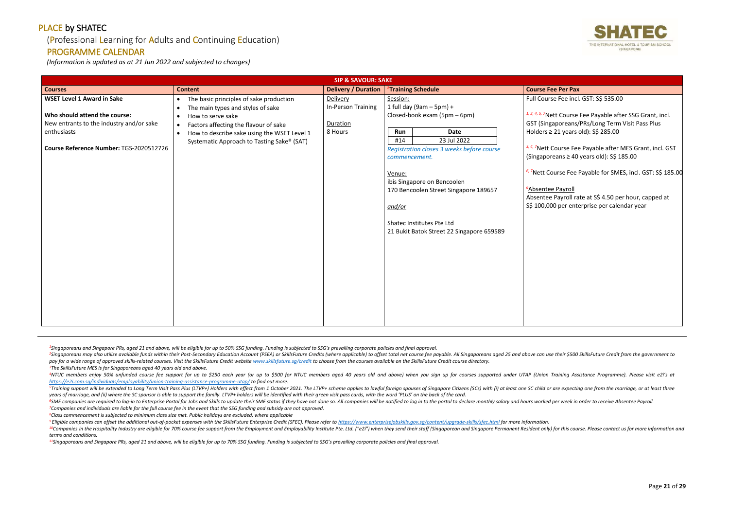## (Professional Learning for Adults and Continuing Education)

#### PROGRAMME CALENDAR

*(Information is updated as at 21 Jun 2022 and subjected to changes)*

<sup>2</sup>Singaporeans may also utilize available funds within their Post-Secondary Education Account (PSEA) or SkillsFuture Credits (where applicable) to offset total net course fee payable. All Singaporeans aged 25 and above ca pay for a wide range of approved skills-related courses. Visit the SkillsFuture Credit website www.skillsfuture.sa/credit to choose from the courses available on the SkillsFuture Credit course directory. *<sup>3</sup>The SkillsFuture MES is for Singaporeans aged 40 years old and above.*

<sup>4</sup>NTUC members enjoy 50% unfunded course fee support for up to \$250 each year (or up to \$500 for NTUC members aged 40 years old and above) when you sign up for courses supported under UTAP (Union Training Assistance Progr *<https://e2i.com.sg/individuals/employability/union-training-assistance-programme-utap/> to find out more.* 

<sup>5</sup>Training support will be extended to Long Term Visit Pass Plus (LTVP+) Holders with effect from 1 October 2021. The LTVP+ scheme applies to lawful foreign spouses of Singapore Citizens (SCs) with (i) at least one SC chi *years of marriage, and (ii) where the SC sponsor is able to support the family. LTVP+ holders will be identified with their green visit pass cards, with the word 'PLUS' on the back of the card.*

<sup>6</sup>SME companies are required to log-in to Enterprise Portal for Jobs and Skills to update their SME status if they have not done so. All companies will be notified to log in to the portal to declare monthly salary and hou *<sup>7</sup>Companies and individuals are liable for the full course fee in the event that the SSG funding and subsidy are not approved.*

<sup>9</sup> Eligible companies can offset the additional out-of-pocket expenses with the SkillsFuture Enterprise Credit (SFEC). Please refer to https://www.enterpriseiobskills.gov.sa/content/uparade-skills/sfec.html for more infor <sup>10</sup>Companies in the Hospitality Industry are eligible for 70% course fee support from the Employment and Employability Institute Pte. Ltd. ("e2i") when they send their staff (Singaporean and Singapore Permanent Resident o *terms and conditions.*

*<sup>8</sup>Class commencement is subjected to minimum class size met. Public holidays are excluded, where applicable*

*<sup>11</sup>Singaporeans and Singapore PRs, aged 21 and above, will be eligible for up to 70% SSG funding. Funding is subjected to SSG's prevailing corporate policies and final approval.*



# se Fee incl. GST: S\$ 535.00 *Ptt Course Fee Payable after SSG Grant, incl.* aporeans/PRs/Long Term Visit Pass Plus 21 years old): S\$ 285.00 Course Fee Payable after MES Grant, incl. GST (Singaporeans ≥ 40 years old): S\$ 185.00 *6, <sup>7</sup>*Nett Course Fee Payable for SMES, incl. GST: S\$ 185.00 **e** Payroll Payroll rate at S\$ 4.50 per hour, capped at 00 per enterprise per calendar year

|                                                                                                                                                                          |                                                                                                                                                                                                                                                                                                          | <b>SIP &amp; SAVOUR: SAKE</b>                         |                                                                                                                                                                                                                                                                                                                                                 |                                                                                                                                                                                                                                                                          |
|--------------------------------------------------------------------------------------------------------------------------------------------------------------------------|----------------------------------------------------------------------------------------------------------------------------------------------------------------------------------------------------------------------------------------------------------------------------------------------------------|-------------------------------------------------------|-------------------------------------------------------------------------------------------------------------------------------------------------------------------------------------------------------------------------------------------------------------------------------------------------------------------------------------------------|--------------------------------------------------------------------------------------------------------------------------------------------------------------------------------------------------------------------------------------------------------------------------|
| <b>Courses</b>                                                                                                                                                           | <b>Content</b>                                                                                                                                                                                                                                                                                           | <b>Delivery / Duration</b>                            | <sup>8</sup> Training Schedule                                                                                                                                                                                                                                                                                                                  | <b>Course Fee Per Pax</b>                                                                                                                                                                                                                                                |
| <b>WSET Level 1 Award in Sake</b><br>Who should attend the course:<br>New entrants to the industry and/or sake<br>enthusiasts<br>Course Reference Number: TGS-2020512726 | The basic principles of sake production<br>$\bullet$<br>The main types and styles of sake<br>$\bullet$<br>How to serve sake<br>$\bullet$<br>Factors affecting the flavour of sake<br>$\bullet$<br>How to describe sake using the WSET Level 1<br>$\bullet$<br>Systematic Approach to Tasting Sake® (SAT) | Delivery<br>In-Person Training<br>Duration<br>8 Hours | Session:<br>1 full day (9am $-$ 5pm) +<br>Closed-book exam (5pm - 6pm)<br>Date<br>Run<br>23 Jul 2022<br>#14<br>Registration closes 3 weeks before course<br>commencement.<br>Venue:<br>ibis Singapore on Bencoolen<br>170 Bencoolen Street Singapore 189657<br>and/or<br>Shatec Institutes Pte Ltd<br>21 Bukit Batok Street 22 Singapore 659589 | Full Course Fee incl<br>1, 2, 4, 5, 7Nett Course<br>GST (Singaporeans/<br>Holders $\geq$ 21 years<br>3, 4, 7Nett Course Fee<br>(Singaporeans $\geq 40$<br><sup>6, 7</sup> Nett Course Fee<br><sup>6</sup> Absentee Payroll<br>Absentee Payroll ra<br>S\$ 100,000 per ent |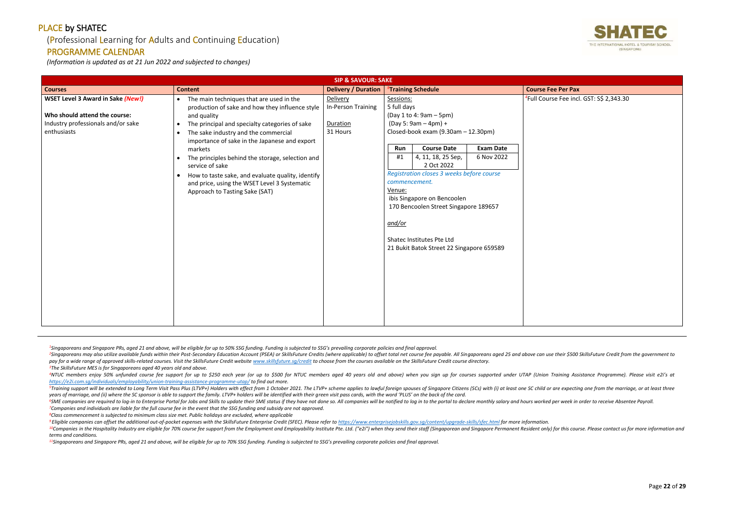#### (Professional Learning for Adults and Continuing Education)

#### PROGRAMME CALENDAR

*(Information is updated as at 21 Jun 2022 and subjected to changes)*

<sup>2</sup>Singaporeans may also utilize available funds within their Post-Secondary Education Account (PSEA) or SkillsFuture Credits (where applicable) to offset total net course fee payable. All Singaporeans aged 25 and above ca pay for a wide range of approved skills-related courses. Visit the SkillsFuture Credit website www.skillsfuture.sa/credit to choose from the courses available on the SkillsFuture Credit course directory. *<sup>3</sup>The SkillsFuture MES is for Singaporeans aged 40 years old and above.*

<sup>4</sup>NTUC members enjoy 50% unfunded course fee support for up to \$250 each year (or up to \$500 for NTUC members aged 40 years old and above) when you sign up for courses supported under UTAP (Union Training Assistance Progr *<https://e2i.com.sg/individuals/employability/union-training-assistance-programme-utap/> to find out more.* 

<sup>5</sup>Training support will be extended to Long Term Visit Pass Plus (LTVP+) Holders with effect from 1 October 2021. The LTVP+ scheme applies to lawful foreign spouses of Singapore Citizens (SCs) with (i) at least one SC chi *years of marriage, and (ii) where the SC sponsor is able to support the family. LTVP+ holders will be identified with their green visit pass cards, with the word 'PLUS' on the back of the card.*

<sup>6</sup>SME companies are required to log-in to Enterprise Portal for Jobs and Skills to update their SME status if they have not done so. All companies will be notified to log in to the portal to declare monthly salary and hou *<sup>7</sup>Companies and individuals are liable for the full course fee in the event that the SSG funding and subsidy are not approved.*

<sup>9</sup> Eligible companies can offset the additional out-of-pocket expenses with the SkillsFuture Enterprise Credit (SFEC). Please refer to https://www.enterpriseiobskills.gov.sa/content/uparade-skills/sfec.html for more infor <sup>10</sup>Companies in the Hospitality Industry are eligible for 70% course fee support from the Employment and Employability Institute Pte. Ltd. ("e2i") when they send their staff (Singaporean and Singapore Permanent Resident o *terms and conditions.*

*<sup>8</sup>Class commencement is subjected to minimum class size met. Public holidays are excluded, where applicable*

*<sup>11</sup>Singaporeans and Singapore PRs, aged 21 and above, will be eligible for up to 70% SSG funding. Funding is subjected to SSG's prevailing corporate policies and final approval.*



rse Fee incl. GST: S\$ 2,343.30

|                                                                                                                                |                                                                                                                                                                                                                                                                                                                                                                                                                                                                                                                                                 | <b>SIP &amp; SAVOUR: SAKE</b>                          |                                                                                                                                                                                                                                                                                                                                                                                                                                                                   |                                  |
|--------------------------------------------------------------------------------------------------------------------------------|-------------------------------------------------------------------------------------------------------------------------------------------------------------------------------------------------------------------------------------------------------------------------------------------------------------------------------------------------------------------------------------------------------------------------------------------------------------------------------------------------------------------------------------------------|--------------------------------------------------------|-------------------------------------------------------------------------------------------------------------------------------------------------------------------------------------------------------------------------------------------------------------------------------------------------------------------------------------------------------------------------------------------------------------------------------------------------------------------|----------------------------------|
| <b>Courses</b>                                                                                                                 | <b>Content</b>                                                                                                                                                                                                                                                                                                                                                                                                                                                                                                                                  | <b>Delivery / Duration</b>                             | <sup>8</sup> Training Schedule                                                                                                                                                                                                                                                                                                                                                                                                                                    | <b>Course Fee Per Pax</b>        |
| <b>WSET Level 3 Award in Sake (New!)</b><br>Who should attend the course:<br>Industry professionals and/or sake<br>enthusiasts | The main techniques that are used in the<br>$\bullet$<br>production of sake and how they influence style<br>and quality<br>The principal and specialty categories of sake<br>$\bullet$<br>The sake industry and the commercial<br>$\bullet$<br>importance of sake in the Japanese and export<br>markets<br>The principles behind the storage, selection and<br>$\bullet$<br>service of sake<br>How to taste sake, and evaluate quality, identify<br>$\bullet$<br>and price, using the WSET Level 3 Systematic<br>Approach to Tasting Sake (SAT) | Delivery<br>In-Person Training<br>Duration<br>31 Hours | Sessions:<br>5 full days<br>(Day 1 to 4: 9am - 5pm)<br>$(Day 5: 9am - 4pm) +$<br>Closed-book exam (9.30am - 12.30pm)<br><b>Course Date</b><br><b>Exam Date</b><br>Run<br>4, 11, 18, 25 Sep,<br>6 Nov 2022<br>#1<br>2 Oct 2022<br>Registration closes 3 weeks before course<br>commencement.<br>Venue:<br>ibis Singapore on Bencoolen<br>170 Bencoolen Street Singapore 189657<br>and/or<br>Shatec Institutes Pte Ltd<br>21 Bukit Batok Street 22 Singapore 659589 | <sup>4</sup> Full Course Fee inc |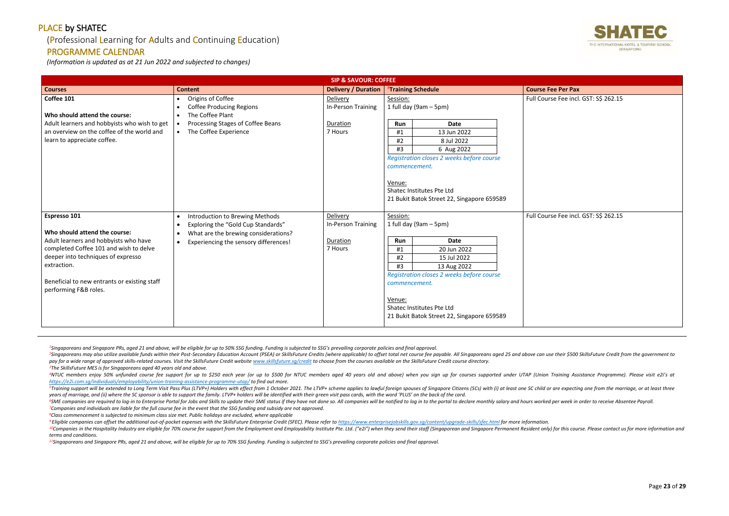## (Professional Learning for Adults and Continuing Education)

#### PROGRAMME CALENDAR

*(Information is updated as at 21 Jun 2022 and subjected to changes)*

<sup>2</sup>Singaporeans may also utilize available funds within their Post-Secondary Education Account (PSEA) or SkillsFuture Credits (where applicable) to offset total net course fee payable. All Singaporeans aged 25 and above ca pay for a wide range of approved skills-related courses. Visit the SkillsFuture Credit website www.skillsfuture.sa/credit to choose from the courses available on the SkillsFuture Credit course directory. *<sup>3</sup>The SkillsFuture MES is for Singaporeans aged 40 years old and above.*

<sup>4</sup>NTUC members enjoy 50% unfunded course fee support for up to \$250 each year (or up to \$500 for NTUC members aged 40 years old and above) when you sign up for courses supported under UTAP (Union Training Assistance Progr *<https://e2i.com.sg/individuals/employability/union-training-assistance-programme-utap/> to find out more.* 

<sup>5</sup>Training support will be extended to Long Term Visit Pass Plus (LTVP+) Holders with effect from 1 October 2021. The LTVP+ scheme applies to lawful foreign spouses of Singapore Citizens (SCs) with (i) at least one SC chi *years of marriage, and (ii) where the SC sponsor is able to support the family. LTVP+ holders will be identified with their green visit pass cards, with the word 'PLUS' on the back of the card.*

<sup>6</sup>SME companies are required to log-in to Enterprise Portal for Jobs and Skills to update their SME status if they have not done so. All companies will be notified to log in to the portal to declare monthly salary and hou *<sup>7</sup>Companies and individuals are liable for the full course fee in the event that the SSG funding and subsidy are not approved.*

<sup>9</sup> Eligible companies can offset the additional out-of-pocket expenses with the SkillsFuture Enterprise Credit (SFEC). Please refer to https://www.enterpriseiobskills.gov.sa/content/uparade-skills/sfec.html for more infor <sup>10</sup>Companies in the Hospitality Industry are eligible for 70% course fee support from the Employment and Employability Institute Pte. Ltd. ("e2i") when they send their staff (Singaporean and Singapore Permanent Resident o *terms and conditions.*

*<sup>8</sup>Class commencement is subjected to minimum class size met. Public holidays are excluded, where applicable*

*<sup>11</sup>Singaporeans and Singapore PRs, aged 21 and above, will be eligible for up to 70% SSG funding. Funding is subjected to SSG's prevailing corporate policies and final approval.*



se Fee incl. GST: S\$ 262.15

se Fee incl. GST: S\$ 262.15

Page **23** of **29**

|                                                                                                                                                                                                                                                                |                                                                                                                                                                                                            | <b>SIP &amp; SAVOUR: COFFEE</b>                       |                                                                                                                                                                                                                                                                            |                             |
|----------------------------------------------------------------------------------------------------------------------------------------------------------------------------------------------------------------------------------------------------------------|------------------------------------------------------------------------------------------------------------------------------------------------------------------------------------------------------------|-------------------------------------------------------|----------------------------------------------------------------------------------------------------------------------------------------------------------------------------------------------------------------------------------------------------------------------------|-----------------------------|
| <b>Courses</b>                                                                                                                                                                                                                                                 | <b>Content</b>                                                                                                                                                                                             | <b>Delivery / Duration</b>                            | <sup>8</sup> Training Schedule                                                                                                                                                                                                                                             | <b>Course Fee Per Pax</b>   |
| Coffee 101<br>Who should attend the course:<br>Adult learners and hobbyists who wish to get<br>an overview on the coffee of the world and<br>learn to appreciate coffee.                                                                                       | Origins of Coffee<br>$\bullet$<br><b>Coffee Producing Regions</b><br>The Coffee Plant<br>$\bullet$<br>Processing Stages of Coffee Beans<br>$\bullet$<br>The Coffee Experience                              | Delivery<br>In-Person Training<br>Duration<br>7 Hours | Session:<br>1 full day (9am - 5pm)<br><b>Date</b><br>Run<br>13 Jun 2022<br>#1<br>#2<br>8 Jul 2022<br>#3<br>6 Aug 2022<br>Registration closes 2 weeks before course<br>commencement.<br>Venue:<br>Shatec Institutes Pte Ltd<br>21 Bukit Batok Street 22, Singapore 659589   | <b>Full Course Fee incl</b> |
| Espresso 101<br>Who should attend the course:<br>Adult learners and hobbyists who have<br>completed Coffee 101 and wish to delve<br>deeper into techniques of expresso<br>extraction.<br>Beneficial to new entrants or existing staff<br>performing F&B roles. | Introduction to Brewing Methods<br>$\bullet$<br>Exploring the "Gold Cup Standards"<br>$\bullet$<br>What are the brewing considerations?<br>$\bullet$<br>Experiencing the sensory differences!<br>$\bullet$ | Delivery<br>In-Person Training<br>Duration<br>7 Hours | Session:<br>1 full day (9am - 5pm)<br><b>Date</b><br>Run<br>20 Jun 2022<br>#1<br>#2<br>15 Jul 2022<br>#3<br>13 Aug 2022<br>Registration closes 2 weeks before course<br>commencement.<br>Venue:<br>Shatec Institutes Pte Ltd<br>21 Bukit Batok Street 22, Singapore 659589 | Full Course Fee incl        |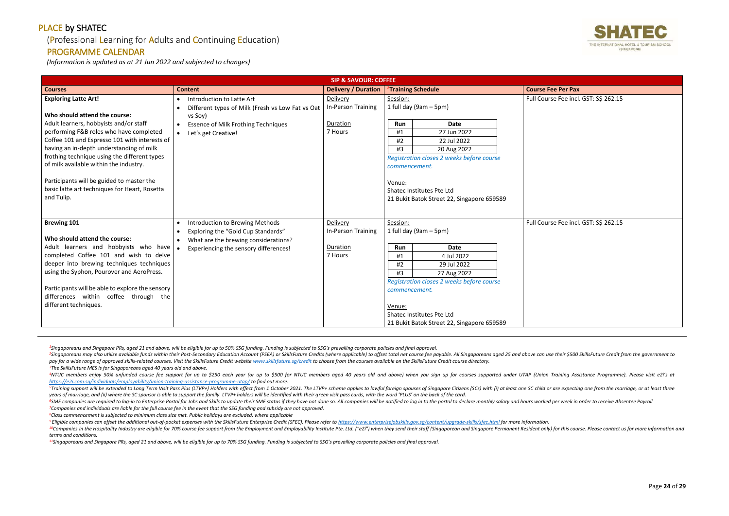## (Professional Learning for Adults and Continuing Education)

## PROGRAMME CALENDAR

*(Information is updated as at 21 Jun 2022 and subjected to changes)*

<sup>2</sup>Singaporeans may also utilize available funds within their Post-Secondary Education Account (PSEA) or SkillsFuture Credits (where applicable) to offset total net course fee payable. All Singaporeans aged 25 and above ca pay for a wide range of approved skills-related courses. Visit the SkillsFuture Credit website www.skillsfuture.sa/credit to choose from the courses available on the SkillsFuture Credit course directory. *<sup>3</sup>The SkillsFuture MES is for Singaporeans aged 40 years old and above.*

<sup>4</sup>NTUC members enjoy 50% unfunded course fee support for up to \$250 each year (or up to \$500 for NTUC members aged 40 years old and above) when you sign up for courses supported under UTAP (Union Training Assistance Progr *<https://e2i.com.sg/individuals/employability/union-training-assistance-programme-utap/> to find out more.* 

<sup>5</sup>Training support will be extended to Long Term Visit Pass Plus (LTVP+) Holders with effect from 1 October 2021. The LTVP+ scheme applies to lawful foreign spouses of Singapore Citizens (SCs) with (i) at least one SC chi *years of marriage, and (ii) where the SC sponsor is able to support the family. LTVP+ holders will be identified with their green visit pass cards, with the word 'PLUS' on the back of the card.*

<sup>6</sup>SME companies are required to log-in to Enterprise Portal for Jobs and Skills to update their SME status if they have not done so. All companies will be notified to log in to the portal to declare monthly salary and hou *<sup>7</sup>Companies and individuals are liable for the full course fee in the event that the SSG funding and subsidy are not approved.*

<sup>9</sup> Eligible companies can offset the additional out-of-pocket expenses with the SkillsFuture Enterprise Credit (SFEC). Please refer to https://www.enterpriseiobskills.gov.sa/content/uparade-skills/sfec.html for more infor <sup>10</sup>Companies in the Hospitality Industry are eligible for 70% course fee support from the Employment and Employability Institute Pte. Ltd. ("e2i") when they send their staff (Singaporean and Singapore Permanent Resident o *terms and conditions.*

*<sup>8</sup>Class commencement is subjected to minimum class size met. Public holidays are excluded, where applicable*

*<sup>11</sup>Singaporeans and Singapore PRs, aged 21 and above, will be eligible for up to 70% SSG funding. Funding is subjected to SSG's prevailing corporate policies and final approval.*



rse Fee incl. GST: S\$ 262.15

rse Fee incl. GST: S\$ 262.15

Page **24** of **29**

|                                                                                                                                                                                                                                                                                                                                                                                                                                                      |                                                                                                                                                                                  | <b>SIP &amp; SAVOUR: COFFEE</b>                       |                                                                                                                                                                                                                                                                              |                             |
|------------------------------------------------------------------------------------------------------------------------------------------------------------------------------------------------------------------------------------------------------------------------------------------------------------------------------------------------------------------------------------------------------------------------------------------------------|----------------------------------------------------------------------------------------------------------------------------------------------------------------------------------|-------------------------------------------------------|------------------------------------------------------------------------------------------------------------------------------------------------------------------------------------------------------------------------------------------------------------------------------|-----------------------------|
| <b>Courses</b>                                                                                                                                                                                                                                                                                                                                                                                                                                       | <b>Content</b>                                                                                                                                                                   | <b>Delivery / Duration</b>                            | <sup>8</sup> Training Schedule                                                                                                                                                                                                                                               | <b>Course Fee Per Pax</b>   |
| <b>Exploring Latte Art!</b><br>Who should attend the course:<br>Adult learners, hobbyists and/or staff<br>performing F&B roles who have completed<br>Coffee 101 and Espresso 101 with interests of<br>having an in-depth understanding of milk<br>frothing technique using the different types<br>of milk available within the industry.<br>Participants will be guided to master the<br>basic latte art techniques for Heart, Rosetta<br>and Tulip. | Introduction to Latte Art<br>$\bullet$<br>Different types of Milk (Fresh vs Low Fat vs Oat<br>vs Soy)<br><b>Essence of Milk Frothing Techniques</b><br>Let's get Creative!       | Delivery<br>In-Person Training<br>Duration<br>7 Hours | Session:<br>1 full day (9am $-5$ pm)<br><b>Date</b><br>Run<br>27 Jun 2022<br>#1<br>#2<br>22 Jul 2022<br>#3<br>20 Aug 2022<br>Registration closes 2 weeks before course<br>commencement.<br>Venue:<br>Shatec Institutes Pte Ltd<br>21 Bukit Batok Street 22, Singapore 659589 | <b>Full Course Fee incl</b> |
| <b>Brewing 101</b><br>Who should attend the course:<br>Adult learners and hobbyists who have<br>completed Coffee 101 and wish to delve<br>deeper into brewing techniques techniques<br>using the Syphon, Pourover and AeroPress.<br>Participants will be able to explore the sensory<br>differences within coffee through the<br>different techniques.                                                                                               | Introduction to Brewing Methods<br>$\bullet$<br>Exploring the "Gold Cup Standards"<br>What are the brewing considerations?<br>Experiencing the sensory differences!<br>$\bullet$ | Delivery<br>In-Person Training<br>Duration<br>7 Hours | Session:<br>1 full day (9am $-5$ pm)<br><b>Date</b><br>Run<br>4 Jul 2022<br>#1<br>#2<br>29 Jul 2022<br>#3<br>27 Aug 2022<br>Registration closes 2 weeks before course<br>commencement.<br>Venue:<br>Shatec Institutes Pte Ltd<br>21 Bukit Batok Street 22, Singapore 659589  | Full Course Fee incl        |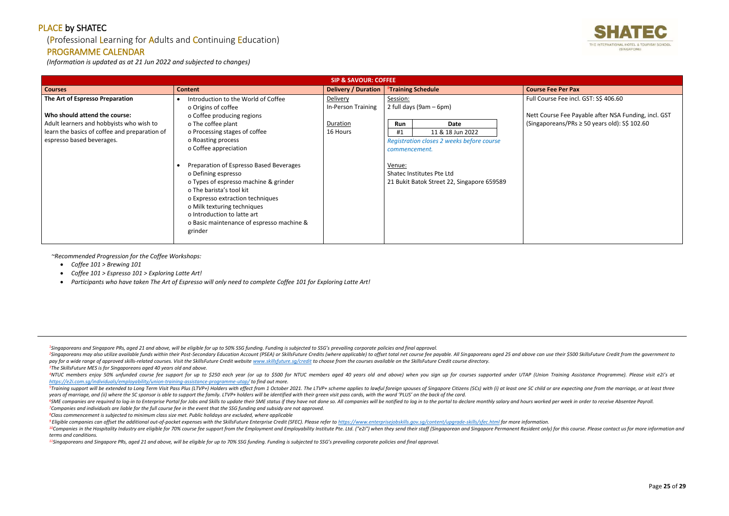## (Professional Learning for Adults and Continuing Education)

#### PROGRAMME CALENDAR

*(Information is updated as at 21 Jun 2022 and subjected to changes)*

<sup>2</sup>Singaporeans may also utilize available funds within their Post-Secondary Education Account (PSEA) or SkillsFuture Credits (where applicable) to offset total net course fee payable. All Singaporeans aged 25 and above ca pay for a wide range of approved skills-related courses. Visit the SkillsFuture Credit website www.skillsfuture.sa/credit to choose from the courses available on the SkillsFuture Credit course directory. *<sup>3</sup>The SkillsFuture MES is for Singaporeans aged 40 years old and above.*

<sup>5</sup>Training support will be extended to Long Term Visit Pass Plus (LTVP+) Holders with effect from 1 October 2021. The LTVP+ scheme applies to lawful foreign spouses of Singapore Citizens (SCs) with (i) at least one SC chi *years of marriage, and (ii) where the SC sponsor is able to support the family. LTVP+ holders will be identified with their green visit pass cards, with the word 'PLUS' on the back of the card.*

<sup>6</sup>SME companies are required to log-in to Enterprise Portal for Jobs and Skills to update their SME status if they have not done so. All companies will be notified to log in to the portal to declare monthly salary and hou *<sup>7</sup>Companies and individuals are liable for the full course fee in the event that the SSG funding and subsidy are not approved.*

rse Fee Payable after NSA Funding, incl. GST (Singaporeans/PRs ≥ 50 years old): S\$ 102.60

*<sup>8</sup>Class commencement is subjected to minimum class size met. Public holidays are excluded, where applicable*

*<sup>11</sup>Singaporeans and Singapore PRs, aged 21 and above, will be eligible for up to 70% SSG funding. Funding is subjected to SSG's prevailing corporate policies and final approval.*



se Fee incl. GST: S\$ 406.60

|                                                                                                                                                                                            | <b>SIP &amp; SAVOUR: COFFEE</b>                                                                                                                                                                                                                                                                                                                                                                                                                                                                 |                                                        |                                                                                                                                                                                                                                 |                                                                 |  |  |  |
|--------------------------------------------------------------------------------------------------------------------------------------------------------------------------------------------|-------------------------------------------------------------------------------------------------------------------------------------------------------------------------------------------------------------------------------------------------------------------------------------------------------------------------------------------------------------------------------------------------------------------------------------------------------------------------------------------------|--------------------------------------------------------|---------------------------------------------------------------------------------------------------------------------------------------------------------------------------------------------------------------------------------|-----------------------------------------------------------------|--|--|--|
| <b>Courses</b>                                                                                                                                                                             | <b>Content</b>                                                                                                                                                                                                                                                                                                                                                                                                                                                                                  | <b>Delivery / Duration</b>                             | <sup>8</sup> Training Schedule                                                                                                                                                                                                  | <b>Course Fee Per Pax</b>                                       |  |  |  |
| The Art of Espresso Preparation<br>Who should attend the course:<br>Adult learners and hobbyists who wish to<br>learn the basics of coffee and preparation of<br>espresso based beverages. | Introduction to the World of Coffee<br>o Origins of coffee<br>o Coffee producing regions<br>o The coffee plant<br>o Processing stages of coffee<br>o Roasting process<br>o Coffee appreciation<br>Preparation of Espresso Based Beverages<br>o Defining espresso<br>o Types of espresso machine & grinder<br>o The barista's tool kit<br>o Expresso extraction techniques<br>o Milk texturing techniques<br>o Introduction to latte art<br>o Basic maintenance of espresso machine &<br>grinder | Delivery<br>In-Person Training<br>Duration<br>16 Hours | Session:<br>2 full days (9am - 6pm)<br>Run<br>Date<br>11 & 18 Jun 2022<br>#1<br>Registration closes 2 weeks before course<br>commencement.<br>Venue:<br>Shatec Institutes Pte Ltd<br>21 Bukit Batok Street 22, Singapore 659589 | Full Course Fee incl<br>Nett Course Fee Pa<br>(Singaporeans/PRs |  |  |  |

*~Recommended Progression for the Coffee Workshops:*

- *Coffee 101 > Brewing 101*
- *Coffee 101 > Espresso 101 > Exploring Latte Art!*
- *Participants who have taken The Art of Espresso will only need to complete Coffee 101 for Exploring Latte Art!*

<sup>&</sup>lt;sup>4</sup>NTUC members enjoy 50% unfunded course fee support for up to \$250 each year (or up to \$500 for NTUC members aged 40 years old and above) when you sign up for courses supported under UTAP (Union Training Assistance Progr *<https://e2i.com.sg/individuals/employability/union-training-assistance-programme-utap/> to find out more.* 

<sup>&</sup>lt;sup>9</sup> Eligible companies can offset the additional out-of-pocket expenses with the SkillsFuture Enterprise Credit (SFEC). Please refer to https://www.enterpriseiobskills.gov.sa/content/uparade-skills/sfec.html for more infor <sup>10</sup>Companies in the Hospitality Industry are eligible for 70% course fee support from the Employment and Employability Institute Pte. Ltd. ("e2i") when they send their staff (Singaporean and Singapore Permanent Resident o *terms and conditions.*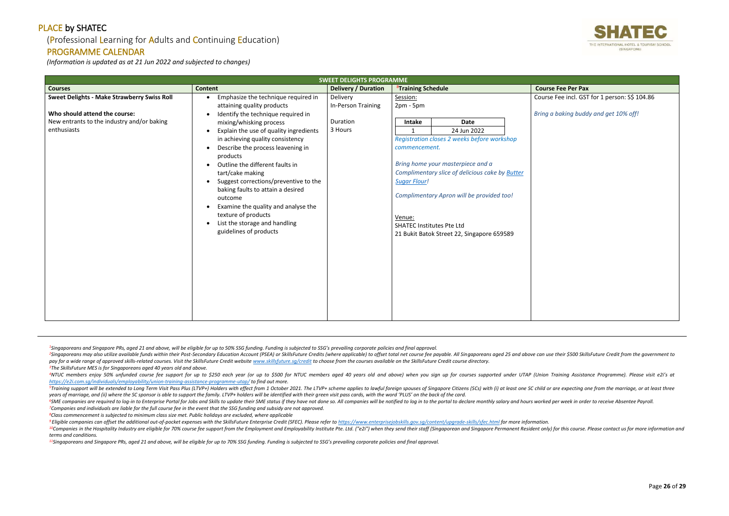#### (Professional Learning for Adults and Continuing Education)

#### PROGRAMME CALENDAR

*(Information is updated as at 21 Jun 2022 and subjected to changes)*

<sup>2</sup>Singaporeans may also utilize available funds within their Post-Secondary Education Account (PSEA) or SkillsFuture Credits (where applicable) to offset total net course fee payable. All Singaporeans aged 25 and above ca pay for a wide range of approved skills-related courses. Visit the SkillsFuture Credit website www.skillsfuture.sa/credit to choose from the courses available on the SkillsFuture Credit course directory. *<sup>3</sup>The SkillsFuture MES is for Singaporeans aged 40 years old and above.*

<sup>4</sup>NTUC members enjoy 50% unfunded course fee support for up to \$250 each year (or up to \$500 for NTUC members aged 40 years old and above) when you sign up for courses supported under UTAP (Union Training Assistance Progr *<https://e2i.com.sg/individuals/employability/union-training-assistance-programme-utap/> to find out more.* 

<sup>5</sup>Training support will be extended to Long Term Visit Pass Plus (LTVP+) Holders with effect from 1 October 2021. The LTVP+ scheme applies to lawful foreign spouses of Singapore Citizens (SCs) with (i) at least one SC chi *years of marriage, and (ii) where the SC sponsor is able to support the family. LTVP+ holders will be identified with their green visit pass cards, with the word 'PLUS' on the back of the card.*

<sup>6</sup>SME companies are required to log-in to Enterprise Portal for Jobs and Skills to update their SME status if they have not done so. All companies will be notified to log in to the portal to declare monthly salary and hou *<sup>7</sup>Companies and individuals are liable for the full course fee in the event that the SSG funding and subsidy are not approved.*

<sup>9</sup> Eligible companies can offset the additional out-of-pocket expenses with the SkillsFuture Enterprise Credit (SFEC). Please refer to https://www.enterpriseiobskills.gov.sa/content/uparade-skills/sfec.html for more infor <sup>10</sup>Companies in the Hospitality Industry are eligible for 70% course fee support from the Employment and Employability Institute Pte. Ltd. ("e2i") when they send their staff (Singaporean and Singapore Permanent Resident o *terms and conditions.*

*<sup>8</sup>Class commencement is subjected to minimum class size met. Public holidays are excluded, where applicable*

*<sup>11</sup>Singaporeans and Singapore PRs, aged 21 and above, will be eligible for up to 70% SSG funding. Funding is subjected to SSG's prevailing corporate policies and final approval.*



e Fee incl. GST for 1 person: S\$ 104.86

<sup>1</sup>Singaporeans and Singapore PRs, aged 21 and above, will be eligible for up to 50% SSG funding. Funding is subjected to SSG's prevailing corporate policies and final approval.

*Bring a baking buddy and get 10% off!*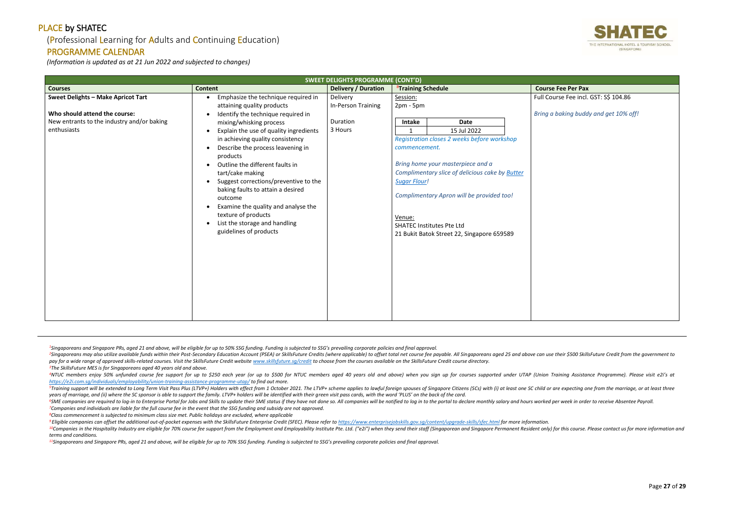#### (Professional Learning for Adults and Continuing Education)

#### PROGRAMME CALENDAR

*(Information is updated as at 21 Jun 2022 and subjected to changes)*

<sup>2</sup>Singaporeans may also utilize available funds within their Post-Secondary Education Account (PSEA) or SkillsFuture Credits (where applicable) to offset total net course fee payable. All Singaporeans aged 25 and above ca pay for a wide range of approved skills-related courses. Visit the SkillsFuture Credit website www.skillsfuture.sa/credit to choose from the courses available on the SkillsFuture Credit course directory. *<sup>3</sup>The SkillsFuture MES is for Singaporeans aged 40 years old and above.*

<sup>4</sup>NTUC members enjoy 50% unfunded course fee support for up to \$250 each year (or up to \$500 for NTUC members aged 40 years old and above) when you sign up for courses supported under UTAP (Union Training Assistance Progr *<https://e2i.com.sg/individuals/employability/union-training-assistance-programme-utap/> to find out more.* 

<sup>5</sup>Training support will be extended to Long Term Visit Pass Plus (LTVP+) Holders with effect from 1 October 2021. The LTVP+ scheme applies to lawful foreign spouses of Singapore Citizens (SCs) with (i) at least one SC chi *years of marriage, and (ii) where the SC sponsor is able to support the family. LTVP+ holders will be identified with their green visit pass cards, with the word 'PLUS' on the back of the card.*

<sup>6</sup>SME companies are required to log-in to Enterprise Portal for Jobs and Skills to update their SME status if they have not done so. All companies will be notified to log in to the portal to declare monthly salary and hou *<sup>7</sup>Companies and individuals are liable for the full course fee in the event that the SSG funding and subsidy are not approved.*

<sup>9</sup> Eligible companies can offset the additional out-of-pocket expenses with the SkillsFuture Enterprise Credit (SFEC). Please refer to https://www.enterpriseiobskills.gov.sa/content/uparade-skills/sfec.html for more infor <sup>10</sup>Companies in the Hospitality Industry are eligible for 70% course fee support from the Employment and Employability Institute Pte. Ltd. ("e2i") when they send their staff (Singaporean and Singapore Permanent Resident o *terms and conditions.*

*<sup>8</sup>Class commencement is subjected to minimum class size met. Public holidays are excluded, where applicable*

*<sup>11</sup>Singaporeans and Singapore PRs, aged 21 and above, will be eligible for up to 70% SSG funding. Funding is subjected to SSG's prevailing corporate policies and final approval.*



ourse Fee incl. GST: S\$ 104.86

Page **27** of **29**

<sup>1</sup>Singaporeans and Singapore PRs, aged 21 and above, will be eligible for up to 50% SSG funding. Funding is subjected to SSG's prevailing corporate policies and final approval.

*Bring a baking buddy and get 10% off!*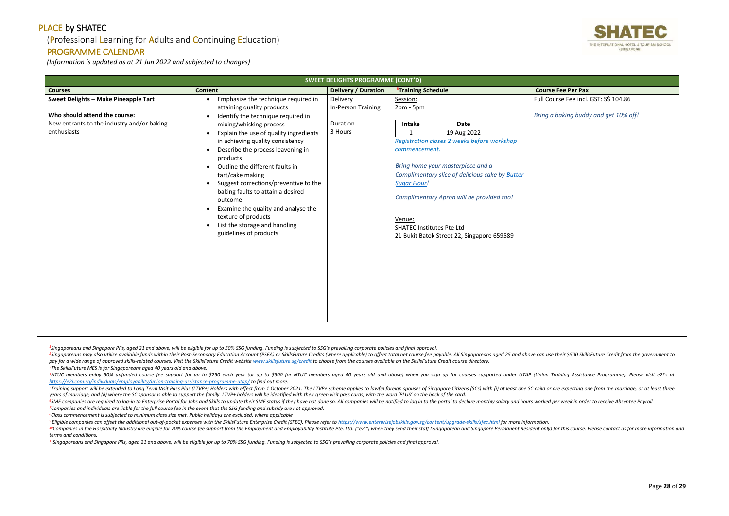#### (Professional Learning for Adults and Continuing Education)

#### PROGRAMME CALENDAR

*(Information is updated as at 21 Jun 2022 and subjected to changes)*

<sup>2</sup>Singaporeans may also utilize available funds within their Post-Secondary Education Account (PSEA) or SkillsFuture Credits (where applicable) to offset total net course fee payable. All Singaporeans aged 25 and above ca pay for a wide range of approved skills-related courses. Visit the SkillsFuture Credit website www.skillsfuture.sa/credit to choose from the courses available on the SkillsFuture Credit course directory. *<sup>3</sup>The SkillsFuture MES is for Singaporeans aged 40 years old and above.*

<sup>4</sup>NTUC members enjoy 50% unfunded course fee support for up to \$250 each year (or up to \$500 for NTUC members aged 40 years old and above) when you sign up for courses supported under UTAP (Union Training Assistance Progr *<https://e2i.com.sg/individuals/employability/union-training-assistance-programme-utap/> to find out more.* 

<sup>5</sup>Training support will be extended to Long Term Visit Pass Plus (LTVP+) Holders with effect from 1 October 2021. The LTVP+ scheme applies to lawful foreign spouses of Singapore Citizens (SCs) with (i) at least one SC chi *years of marriage, and (ii) where the SC sponsor is able to support the family. LTVP+ holders will be identified with their green visit pass cards, with the word 'PLUS' on the back of the card.*

<sup>6</sup>SME companies are required to log-in to Enterprise Portal for Jobs and Skills to update their SME status if they have not done so. All companies will be notified to log in to the portal to declare monthly salary and hou *<sup>7</sup>Companies and individuals are liable for the full course fee in the event that the SSG funding and subsidy are not approved.*

<sup>9</sup> Eligible companies can offset the additional out-of-pocket expenses with the SkillsFuture Enterprise Credit (SFEC). Please refer to https://www.enterpriseiobskills.gov.sa/content/uparade-skills/sfec.html for more infor <sup>10</sup>Companies in the Hospitality Industry are eligible for 70% course fee support from the Employment and Employability Institute Pte. Ltd. ("e2i") when they send their staff (Singaporean and Singapore Permanent Resident o *terms and conditions.*

*<sup>8</sup>Class commencement is subjected to minimum class size met. Public holidays are excluded, where applicable*

*<sup>11</sup>Singaporeans and Singapore PRs, aged 21 and above, will be eligible for up to 70% SSG funding. Funding is subjected to SSG's prevailing corporate policies and final approval.*



ourse Fee incl. GST: S\$ 104.86

Page **28** of **29**

|                                                                                                                                    | <b>SWEET DELIGHTS PROGRAMME (CONT'D)</b>                                                                                                                                                                                                                                                                                                                                                                                                                                                                                                                                                                                                           |                                                       |                                                                                          |                                                                                                                                                                                                                                                                                                  |  |                                              |  |  |
|------------------------------------------------------------------------------------------------------------------------------------|----------------------------------------------------------------------------------------------------------------------------------------------------------------------------------------------------------------------------------------------------------------------------------------------------------------------------------------------------------------------------------------------------------------------------------------------------------------------------------------------------------------------------------------------------------------------------------------------------------------------------------------------------|-------------------------------------------------------|------------------------------------------------------------------------------------------|--------------------------------------------------------------------------------------------------------------------------------------------------------------------------------------------------------------------------------------------------------------------------------------------------|--|----------------------------------------------|--|--|
| <b>Courses</b>                                                                                                                     | <b>Content</b>                                                                                                                                                                                                                                                                                                                                                                                                                                                                                                                                                                                                                                     | <b>Delivery / Duration</b>                            | <sup>8</sup> Training Schedule                                                           |                                                                                                                                                                                                                                                                                                  |  | <b>Course Fee Per Pax</b>                    |  |  |
| Sweet Delights - Make Pineapple Tart<br>Who should attend the course:<br>New entrants to the industry and/or baking<br>enthusiasts | Emphasize the technique required in<br>$\bullet$<br>attaining quality products<br>Identify the technique required in<br>$\bullet$<br>mixing/whisking process<br>Explain the use of quality ingredients<br>$\bullet$<br>in achieving quality consistency<br>Describe the process leavening in<br>$\bullet$<br>products<br>Outline the different faults in<br>$\bullet$<br>tart/cake making<br>Suggest corrections/preventive to the<br>$\bullet$<br>baking faults to attain a desired<br>outcome<br>Examine the quality and analyse the<br>$\bullet$<br>texture of products<br>List the storage and handling<br>$\bullet$<br>guidelines of products | Delivery<br>In-Person Training<br>Duration<br>3 Hours | Session:<br>$2pm - 5pm$<br>Intake<br>1<br>commencement.<br><b>Sugar Flour!</b><br>Venue: | <b>Date</b><br>19 Aug 2022<br>Registration closes 2 weeks before workshop<br>Bring home your masterpiece and a<br>Complimentary slice of delicious cake by Butter<br>Complimentary Apron will be provided too!<br><b>SHATEC Institutes Pte Ltd</b><br>21 Bukit Batok Street 22, Singapore 659589 |  | Full Course Fee incl.<br>Bring a baking buda |  |  |
|                                                                                                                                    |                                                                                                                                                                                                                                                                                                                                                                                                                                                                                                                                                                                                                                                    |                                                       |                                                                                          |                                                                                                                                                                                                                                                                                                  |  |                                              |  |  |

<sup>1</sup>Singaporeans and Singapore PRs, aged 21 and above, will be eligible for up to 50% SSG funding. Funding is subjected to SSG's prevailing corporate policies and final approval.

*Bring a baking buddy and get 10% off!*